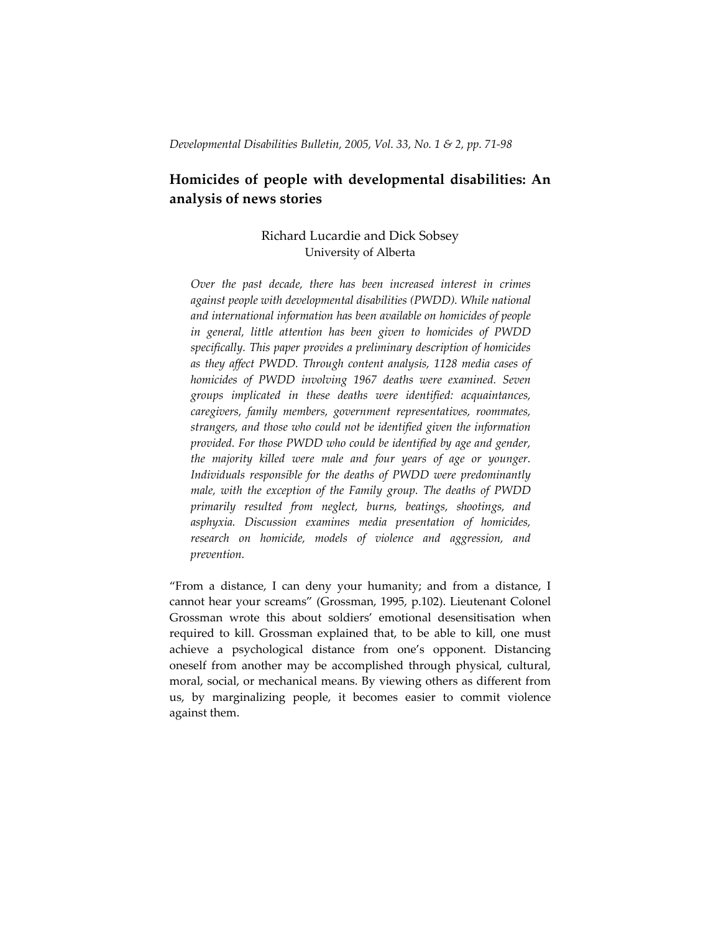# **Homicides of people with developmental disabilities: An analysis of news stories**

## Richard Lucardie and Dick Sobsey University of Alberta

*Over the past decade, there has been increased interest in crimes against people with developmental disabilities (PWDD). While national and international information has been available on homicides of people in general, little attention has been given to homicides of PWDD specifically. This paper provides a preliminary description of homicides as they affect PWDD. Through content analysis, 1128 media cases of homicides of PWDD involving 1967 deaths were examined. Seven groups implicated in these deaths were identified: acquaintances, caregivers, family members, government representatives, roommates, strangers, and those who could not be identified given the information provided. For those PWDD who could be identified by age and gender, the majority killed were male and four years of age or younger. Individuals responsible for the deaths of PWDD were predominantly male, with the exception of the Family group. The deaths of PWDD primarily resulted from neglect, burns, beatings, shootings, and asphyxia. Discussion examines media presentation of homicides, research on homicide, models of violence and aggression, and prevention.* 

"From a distance, I can deny your humanity; and from a distance, I cannot hear your screams" (Grossman, 1995, p.102). Lieutenant Colonel Grossman wrote this about soldiers' emotional desensitisation when required to kill. Grossman explained that, to be able to kill, one must achieve a psychological distance from one's opponent. Distancing oneself from another may be accomplished through physical, cultural, moral, social, or mechanical means. By viewing others as different from us, by marginalizing people, it becomes easier to commit violence against them.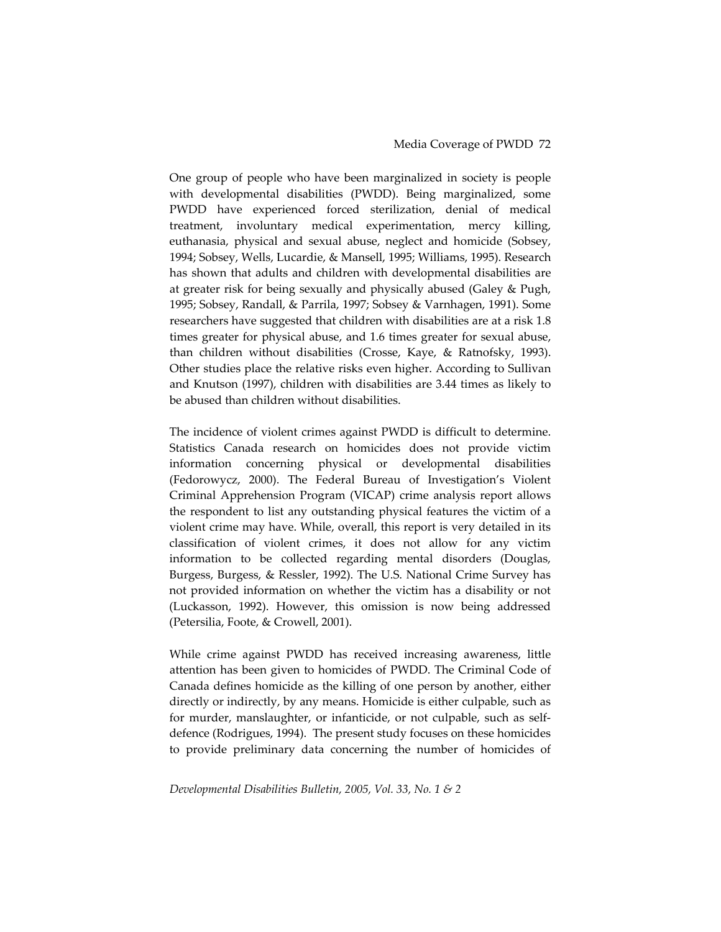One group of people who have been marginalized in society is people with developmental disabilities (PWDD). Being marginalized, some PWDD have experienced forced sterilization, denial of medical treatment, involuntary medical experimentation, mercy killing, euthanasia, physical and sexual abuse, neglect and homicide (Sobsey, 1994; Sobsey, Wells, Lucardie, & Mansell, 1995; Williams, 1995). Research has shown that adults and children with developmental disabilities are at greater risk for being sexually and physically abused (Galey & Pugh, 1995; Sobsey, Randall, & Parrila, 1997; Sobsey & Varnhagen, 1991). Some researchers have suggested that children with disabilities are at a risk 1.8 times greater for physical abuse, and 1.6 times greater for sexual abuse, than children without disabilities (Crosse, Kaye, & Ratnofsky, 1993). Other studies place the relative risks even higher. According to Sullivan and Knutson (1997), children with disabilities are 3.44 times as likely to be abused than children without disabilities.

The incidence of violent crimes against PWDD is difficult to determine. Statistics Canada research on homicides does not provide victim information concerning physical or developmental disabilities (Fedorowycz, 2000). The Federal Bureau of Investigation's Violent Criminal Apprehension Program (VICAP) crime analysis report allows the respondent to list any outstanding physical features the victim of a violent crime may have. While, overall, this report is very detailed in its classification of violent crimes, it does not allow for any victim information to be collected regarding mental disorders (Douglas, Burgess, Burgess, & Ressler, 1992). The U.S. National Crime Survey has not provided information on whether the victim has a disability or not (Luckasson, 1992). However, this omission is now being addressed (Petersilia, Foote, & Crowell, 2001).

While crime against PWDD has received increasing awareness, little attention has been given to homicides of PWDD. The Criminal Code of Canada defines homicide as the killing of one person by another, either directly or indirectly, by any means. Homicide is either culpable, such as for murder, manslaughter, or infanticide, or not culpable, such as self‐ defence (Rodrigues, 1994). The present study focuses on these homicides to provide preliminary data concerning the number of homicides of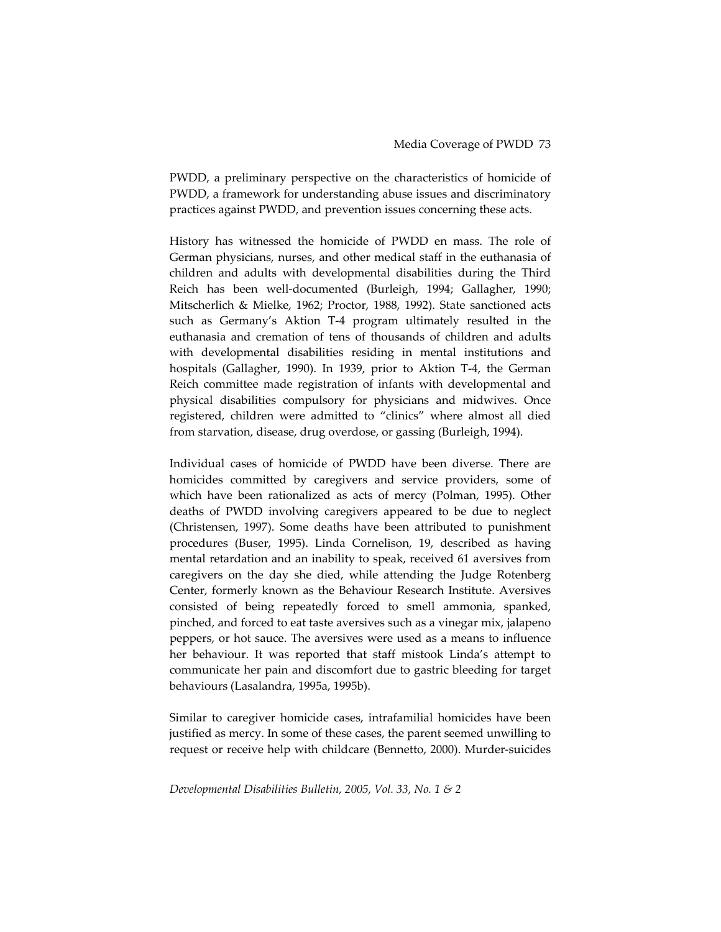PWDD, a preliminary perspective on the characteristics of homicide of PWDD, a framework for understanding abuse issues and discriminatory practices against PWDD, and prevention issues concerning these acts.

History has witnessed the homicide of PWDD en mass. The role of German physicians, nurses, and other medical staff in the euthanasia of children and adults with developmental disabilities during the Third Reich has been well‐documented (Burleigh, 1994; Gallagher, 1990; Mitscherlich & Mielke, 1962; Proctor, 1988, 1992). State sanctioned acts such as Germany's Aktion T‐4 program ultimately resulted in the euthanasia and cremation of tens of thousands of children and adults with developmental disabilities residing in mental institutions and hospitals (Gallagher, 1990). In 1939, prior to Aktion T‐4, the German Reich committee made registration of infants with developmental and physical disabilities compulsory for physicians and midwives. Once registered, children were admitted to "clinics" where almost all died from starvation, disease, drug overdose, or gassing (Burleigh, 1994).

Individual cases of homicide of PWDD have been diverse. There are homicides committed by caregivers and service providers, some of which have been rationalized as acts of mercy (Polman, 1995). Other deaths of PWDD involving caregivers appeared to be due to neglect (Christensen, 1997). Some deaths have been attributed to punishment procedures (Buser, 1995). Linda Cornelison, 19, described as having mental retardation and an inability to speak, received 61 aversives from caregivers on the day she died, while attending the Judge Rotenberg Center, formerly known as the Behaviour Research Institute. Aversives consisted of being repeatedly forced to smell ammonia, spanked, pinched, and forced to eat taste aversives such as a vinegar mix, jalapeno peppers, or hot sauce. The aversives were used as a means to influence her behaviour. It was reported that staff mistook Linda's attempt to communicate her pain and discomfort due to gastric bleeding for target behaviours (Lasalandra, 1995a, 1995b).

Similar to caregiver homicide cases, intrafamilial homicides have been justified as mercy. In some of these cases, the parent seemed unwilling to request or receive help with childcare (Bennetto, 2000). Murder‐suicides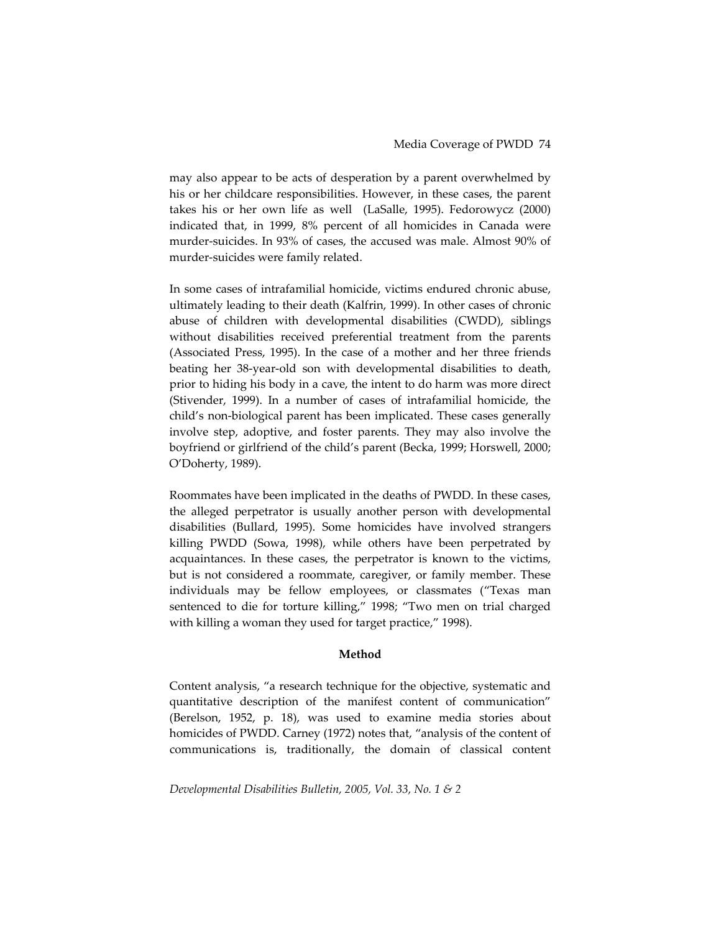may also appear to be acts of desperation by a parent overwhelmed by his or her childcare responsibilities. However, in these cases, the parent takes his or her own life as well (LaSalle, 1995). Fedorowycz (2000) indicated that, in 1999, 8% percent of all homicides in Canada were murder-suicides. In 93% of cases, the accused was male. Almost 90% of murder‐suicides were family related.

In some cases of intrafamilial homicide, victims endured chronic abuse, ultimately leading to their death (Kalfrin, 1999). In other cases of chronic abuse of children with developmental disabilities (CWDD), siblings without disabilities received preferential treatment from the parents (Associated Press, 1995). In the case of a mother and her three friends beating her 38‐year‐old son with developmental disabilities to death, prior to hiding his body in a cave, the intent to do harm was more direct (Stivender, 1999). In a number of cases of intrafamilial homicide, the child's non‐biological parent has been implicated. These cases generally involve step, adoptive, and foster parents. They may also involve the boyfriend or girlfriend of the child's parent (Becka, 1999; Horswell, 2000; O'Doherty, 1989).

Roommates have been implicated in the deaths of PWDD. In these cases, the alleged perpetrator is usually another person with developmental disabilities (Bullard, 1995). Some homicides have involved strangers killing PWDD (Sowa, 1998), while others have been perpetrated by acquaintances. In these cases, the perpetrator is known to the victims, but is not considered a roommate, caregiver, or family member. These individuals may be fellow employees, or classmates ("Texas man sentenced to die for torture killing," 1998; "Two men on trial charged with killing a woman they used for target practice," 1998).

### **Method**

Content analysis, "a research technique for the objective, systematic and quantitative description of the manifest content of communication" (Berelson, 1952, p. 18), was used to examine media stories about homicides of PWDD. Carney (1972) notes that, "analysis of the content of communications is, traditionally, the domain of classical content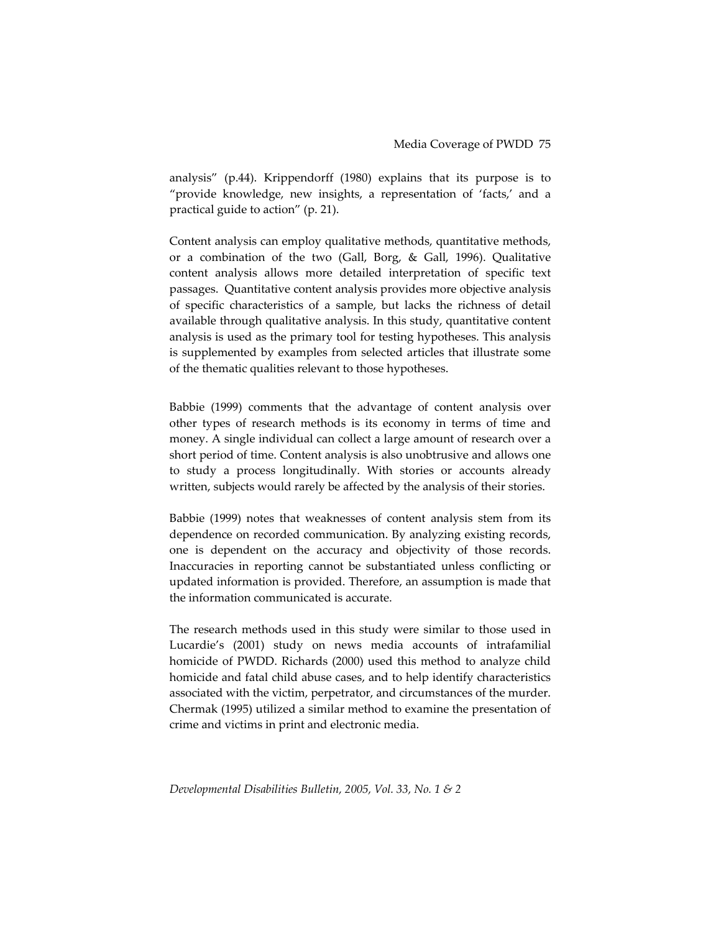analysis" (p.44). Krippendorff (1980) explains that its purpose is to "provide knowledge, new insights, a representation of 'facts,' and a practical guide to action" (p. 21).

Content analysis can employ qualitative methods, quantitative methods, or a combination of the two (Gall, Borg, & Gall, 1996). Qualitative content analysis allows more detailed interpretation of specific text passages. Quantitative content analysis provides more objective analysis of specific characteristics of a sample, but lacks the richness of detail available through qualitative analysis. In this study, quantitative content analysis is used as the primary tool for testing hypotheses. This analysis is supplemented by examples from selected articles that illustrate some of the thematic qualities relevant to those hypotheses.

Babbie (1999) comments that the advantage of content analysis over other types of research methods is its economy in terms of time and money. A single individual can collect a large amount of research over a short period of time. Content analysis is also unobtrusive and allows one to study a process longitudinally. With stories or accounts already written, subjects would rarely be affected by the analysis of their stories.

Babbie (1999) notes that weaknesses of content analysis stem from its dependence on recorded communication. By analyzing existing records, one is dependent on the accuracy and objectivity of those records. Inaccuracies in reporting cannot be substantiated unless conflicting or updated information is provided. Therefore, an assumption is made that the information communicated is accurate.

The research methods used in this study were similar to those used in Lucardie's (2001) study on news media accounts of intrafamilial homicide of PWDD. Richards (2000) used this method to analyze child homicide and fatal child abuse cases, and to help identify characteristics associated with the victim, perpetrator, and circumstances of the murder. Chermak (1995) utilized a similar method to examine the presentation of crime and victims in print and electronic media.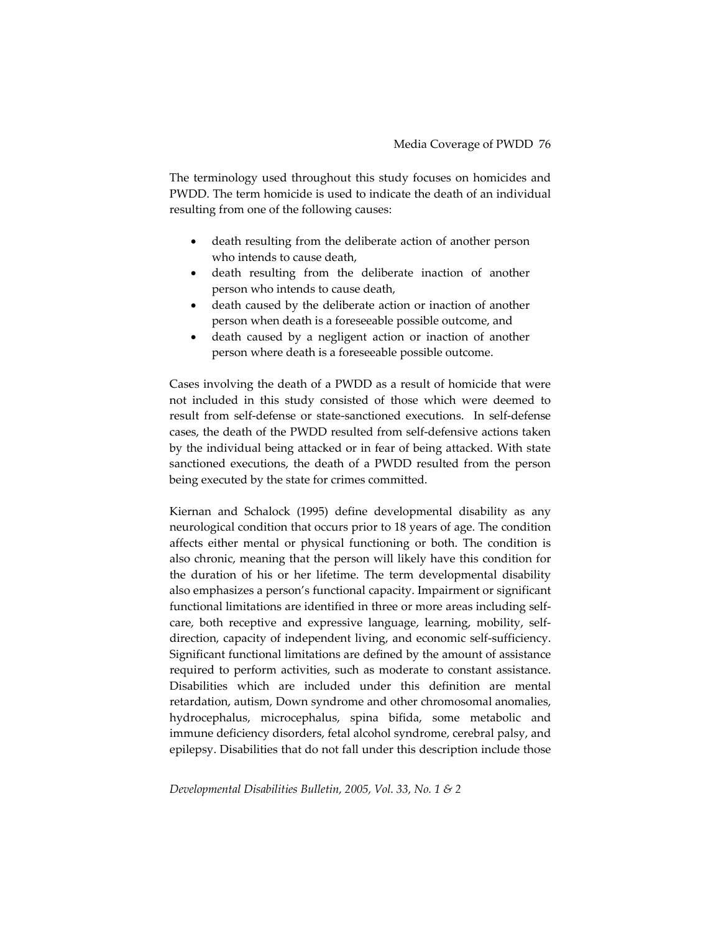The terminology used throughout this study focuses on homicides and PWDD. The term homicide is used to indicate the death of an individual resulting from one of the following causes:

- death resulting from the deliberate action of another person who intends to cause death,
- death resulting from the deliberate inaction of another person who intends to cause death,
- death caused by the deliberate action or inaction of another person when death is a foreseeable possible outcome, and
- death caused by a negligent action or inaction of another person where death is a foreseeable possible outcome.

Cases involving the death of a PWDD as a result of homicide that were not included in this study consisted of those which were deemed to result from self‐defense or state‐sanctioned executions. In self‐defense cases, the death of the PWDD resulted from self‐defensive actions taken by the individual being attacked or in fear of being attacked. With state sanctioned executions, the death of a PWDD resulted from the person being executed by the state for crimes committed.

Kiernan and Schalock (1995) define developmental disability as any neurological condition that occurs prior to 18 years of age. The condition affects either mental or physical functioning or both. The condition is also chronic, meaning that the person will likely have this condition for the duration of his or her lifetime. The term developmental disability also emphasizes a person's functional capacity. Impairment or significant functional limitations are identified in three or more areas including self‐ care, both receptive and expressive language, learning, mobility, self‐ direction, capacity of independent living, and economic self-sufficiency. Significant functional limitations are defined by the amount of assistance required to perform activities, such as moderate to constant assistance. Disabilities which are included under this definition are mental retardation, autism, Down syndrome and other chromosomal anomalies, hydrocephalus, microcephalus, spina bifida, some metabolic and immune deficiency disorders, fetal alcohol syndrome, cerebral palsy, and epilepsy. Disabilities that do not fall under this description include those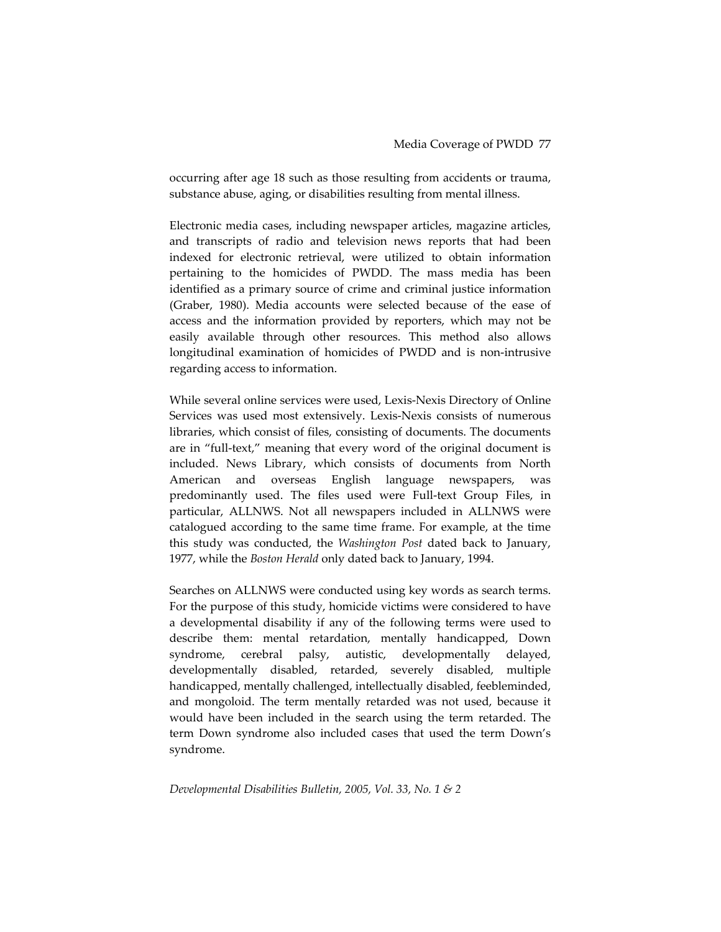occurring after age 18 such as those resulting from accidents or trauma, substance abuse, aging, or disabilities resulting from mental illness.

Electronic media cases, including newspaper articles, magazine articles, and transcripts of radio and television news reports that had been indexed for electronic retrieval, were utilized to obtain information pertaining to the homicides of PWDD. The mass media has been identified as a primary source of crime and criminal justice information (Graber, 1980). Media accounts were selected because of the ease of access and the information provided by reporters, which may not be easily available through other resources. This method also allows longitudinal examination of homicides of PWDD and is non‐intrusive regarding access to information.

While several online services were used, Lexis‐Nexis Directory of Online Services was used most extensively. Lexis‐Nexis consists of numerous libraries, which consist of files, consisting of documents. The documents are in "full-text," meaning that every word of the original document is included. News Library, which consists of documents from North American and overseas English language newspapers, was predominantly used. The files used were Full‐text Group Files, in particular, ALLNWS. Not all newspapers included in ALLNWS were catalogued according to the same time frame. For example, at the time this study was conducted, the *Washington Post* dated back to January, 1977, while the *Boston Herald* only dated back to January, 1994.

Searches on ALLNWS were conducted using key words as search terms. For the purpose of this study, homicide victims were considered to have a developmental disability if any of the following terms were used to describe them: mental retardation, mentally handicapped, Down syndrome, cerebral palsy, autistic, developmentally delayed, developmentally disabled, retarded, severely disabled, multiple handicapped, mentally challenged, intellectually disabled, feebleminded, and mongoloid. The term mentally retarded was not used, because it would have been included in the search using the term retarded. The term Down syndrome also included cases that used the term Down's syndrome.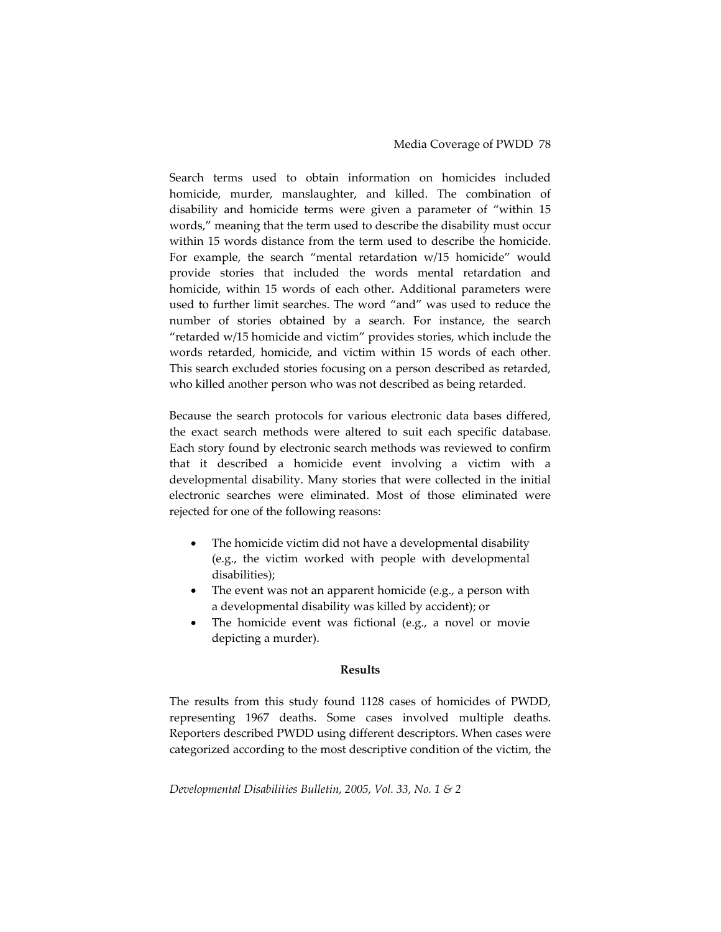Search terms used to obtain information on homicides included homicide, murder, manslaughter, and killed. The combination of disability and homicide terms were given a parameter of "within 15 words," meaning that the term used to describe the disability must occur within 15 words distance from the term used to describe the homicide. For example, the search "mental retardation w/15 homicide" would provide stories that included the words mental retardation and homicide, within 15 words of each other. Additional parameters were used to further limit searches. The word "and" was used to reduce the number of stories obtained by a search. For instance, the search "retarded w/15 homicide and victim" provides stories, which include the words retarded, homicide, and victim within 15 words of each other. This search excluded stories focusing on a person described as retarded, who killed another person who was not described as being retarded.

Because the search protocols for various electronic data bases differed, the exact search methods were altered to suit each specific database. Each story found by electronic search methods was reviewed to confirm that it described a homicide event involving a victim with a developmental disability. Many stories that were collected in the initial electronic searches were eliminated. Most of those eliminated were rejected for one of the following reasons:

- The homicide victim did not have a developmental disability (e.g., the victim worked with people with developmental disabilities);
- The event was not an apparent homicide (e.g., a person with a developmental disability was killed by accident); or
- The homicide event was fictional (e.g., a novel or movie depicting a murder).

### **Results**

The results from this study found 1128 cases of homicides of PWDD, representing 1967 deaths. Some cases involved multiple deaths. Reporters described PWDD using different descriptors. When cases were categorized according to the most descriptive condition of the victim, the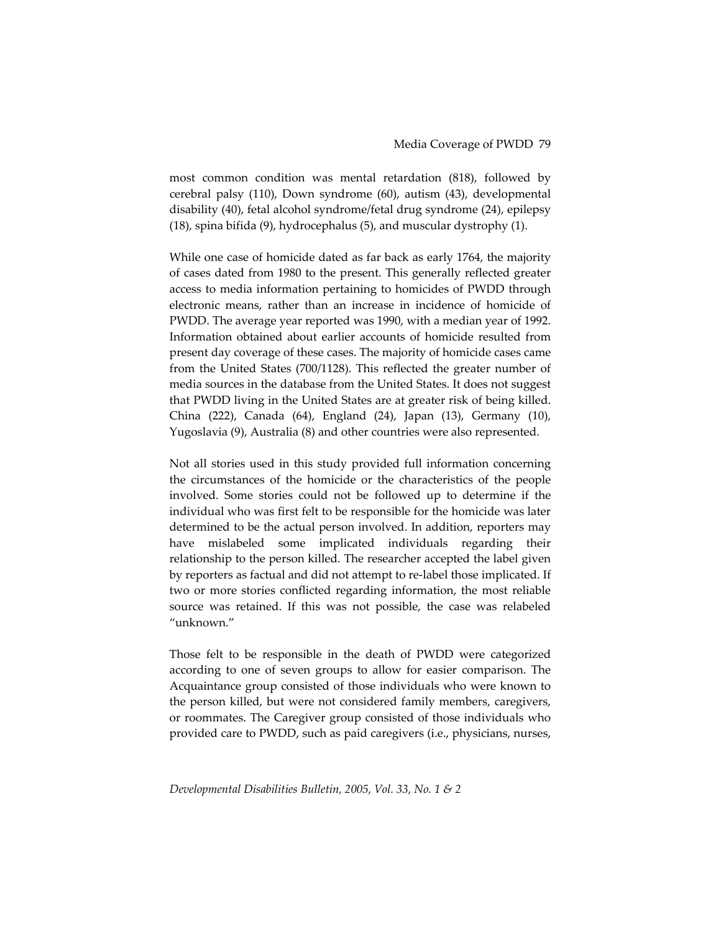most common condition was mental retardation (818), followed by cerebral palsy (110), Down syndrome (60), autism (43), developmental disability (40), fetal alcohol syndrome/fetal drug syndrome (24), epilepsy (18), spina bifida (9), hydrocephalus (5), and muscular dystrophy (1).

While one case of homicide dated as far back as early 1764, the majority of cases dated from 1980 to the present. This generally reflected greater access to media information pertaining to homicides of PWDD through electronic means, rather than an increase in incidence of homicide of PWDD. The average year reported was 1990, with a median year of 1992. Information obtained about earlier accounts of homicide resulted from present day coverage of these cases. The majority of homicide cases came from the United States (700/1128). This reflected the greater number of media sources in the database from the United States. It does not suggest that PWDD living in the United States are at greater risk of being killed. China (222), Canada (64), England (24), Japan (13), Germany (10), Yugoslavia (9), Australia (8) and other countries were also represented.

Not all stories used in this study provided full information concerning the circumstances of the homicide or the characteristics of the people involved. Some stories could not be followed up to determine if the individual who was first felt to be responsible for the homicide was later determined to be the actual person involved. In addition, reporters may have mislabeled some implicated individuals regarding their relationship to the person killed. The researcher accepted the label given by reporters as factual and did not attempt to re‐label those implicated. If two or more stories conflicted regarding information, the most reliable source was retained. If this was not possible, the case was relabeled "unknown."

Those felt to be responsible in the death of PWDD were categorized according to one of seven groups to allow for easier comparison. The Acquaintance group consisted of those individuals who were known to the person killed, but were not considered family members, caregivers, or roommates. The Caregiver group consisted of those individuals who provided care to PWDD, such as paid caregivers (i.e., physicians, nurses,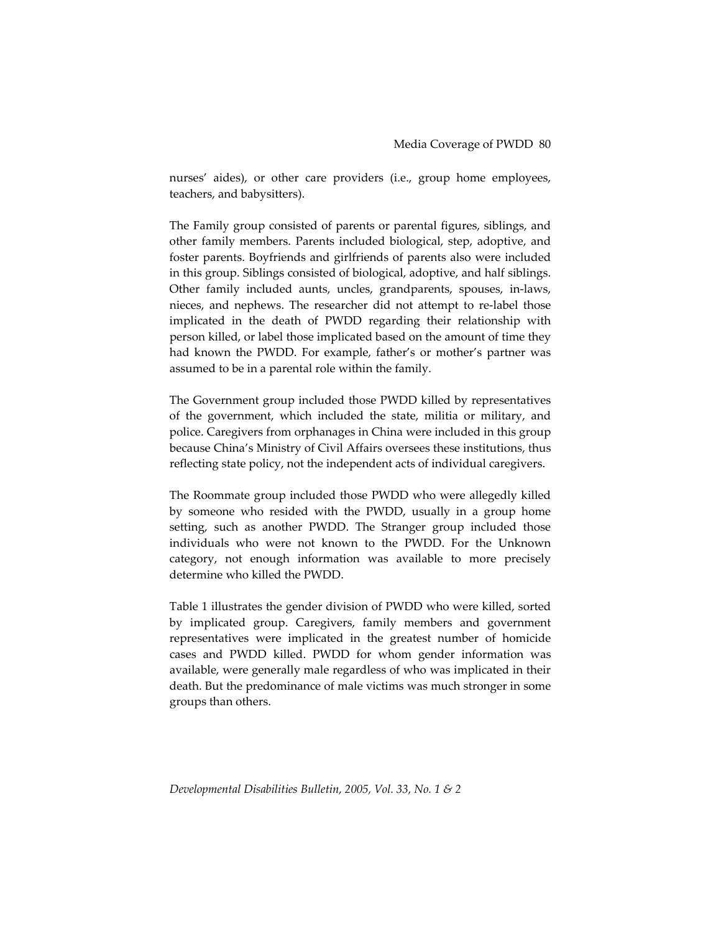nurses' aides), or other care providers (i.e., group home employees, teachers, and babysitters).

The Family group consisted of parents or parental figures, siblings, and other family members. Parents included biological, step, adoptive, and foster parents. Boyfriends and girlfriends of parents also were included in this group. Siblings consisted of biological, adoptive, and half siblings. Other family included aunts, uncles, grandparents, spouses, in‐laws, nieces, and nephews. The researcher did not attempt to re‐label those implicated in the death of PWDD regarding their relationship with person killed, or label those implicated based on the amount of time they had known the PWDD. For example, father's or mother's partner was assumed to be in a parental role within the family.

The Government group included those PWDD killed by representatives of the government, which included the state, militia or military, and police. Caregivers from orphanages in China were included in this group because China's Ministry of Civil Affairs oversees these institutions, thus reflecting state policy, not the independent acts of individual caregivers.

The Roommate group included those PWDD who were allegedly killed by someone who resided with the PWDD, usually in a group home setting, such as another PWDD. The Stranger group included those individuals who were not known to the PWDD. For the Unknown category, not enough information was available to more precisely determine who killed the PWDD.

Table 1 illustrates the gender division of PWDD who were killed, sorted by implicated group. Caregivers, family members and government representatives were implicated in the greatest number of homicide cases and PWDD killed. PWDD for whom gender information was available, were generally male regardless of who was implicated in their death. But the predominance of male victims was much stronger in some groups than others.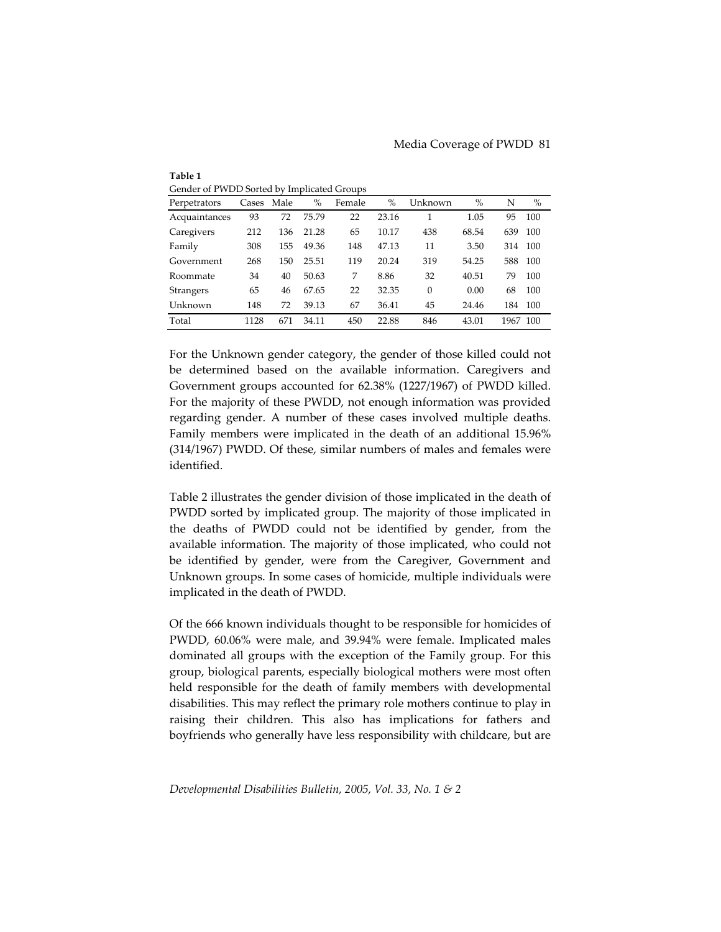| Gender of PWDD Sorted by Implicated Groups |       |      |       |        |       |          |       |      |      |
|--------------------------------------------|-------|------|-------|--------|-------|----------|-------|------|------|
| Perpetrators                               | Cases | Male | $\%$  | Female | $\%$  | Unknown  | $\%$  | N    | $\%$ |
| Acquaintances                              | 93    | 72   | 75.79 | 22     | 23.16 | 1        | 1.05  | 95   | 100  |
| Caregivers                                 | 212   | 136  | 21.28 | 65     | 10.17 | 438      | 68.54 | 639  | 100  |
| Family                                     | 308   | 155  | 49.36 | 148    | 47.13 | 11       | 3.50  | 314  | 100  |
| Government                                 | 268   | 150  | 25.51 | 119    | 20.24 | 319      | 54.25 | 588  | 100  |
| Roommate                                   | 34    | 40   | 50.63 | 7      | 8.86  | 32       | 40.51 | 79   | 100  |
| <b>Strangers</b>                           | 65    | 46   | 67.65 | 22     | 32.35 | $\theta$ | 0.00  | 68   | 100  |
| Unknown                                    | 148   | 72   | 39.13 | 67     | 36.41 | 45       | 24.46 | 184  | 100  |
| Total                                      | 1128  | 671  | 34.11 | 450    | 22.88 | 846      | 43.01 | 1967 | 100  |

**Table 1**

For the Unknown gender category, the gender of those killed could not be determined based on the available information. Caregivers and Government groups accounted for 62.38% (1227/1967) of PWDD killed. For the majority of these PWDD, not enough information was provided regarding gender. A number of these cases involved multiple deaths. Family members were implicated in the death of an additional 15.96% (314/1967) PWDD. Of these, similar numbers of males and females were identified.

Table 2 illustrates the gender division of those implicated in the death of PWDD sorted by implicated group. The majority of those implicated in the deaths of PWDD could not be identified by gender, from the available information. The majority of those implicated, who could not be identified by gender, were from the Caregiver, Government and Unknown groups. In some cases of homicide, multiple individuals were implicated in the death of PWDD.

Of the 666 known individuals thought to be responsible for homicides of PWDD, 60.06% were male, and 39.94% were female. Implicated males dominated all groups with the exception of the Family group. For this group, biological parents, especially biological mothers were most often held responsible for the death of family members with developmental disabilities. This may reflect the primary role mothers continue to play in raising their children. This also has implications for fathers and boyfriends who generally have less responsibility with childcare, but are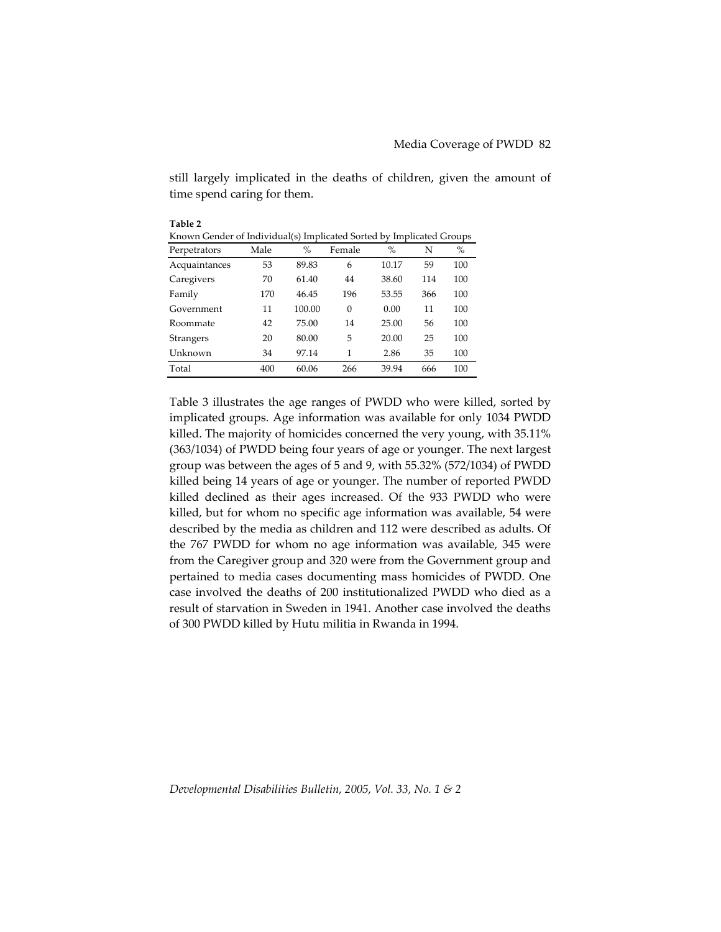still largely implicated in the deaths of children, given the amount of time spend caring for them.

| Table 2                                                              |      |        |          |       |     |      |  |  |  |
|----------------------------------------------------------------------|------|--------|----------|-------|-----|------|--|--|--|
| Known Gender of Individual(s) Implicated Sorted by Implicated Groups |      |        |          |       |     |      |  |  |  |
| Perpetrators                                                         | Male | $\%$   | Female   | $\%$  | N   | $\%$ |  |  |  |
| Acquaintances                                                        | 53   | 89.83  | 6        | 10.17 | 59  | 100  |  |  |  |
| Caregivers                                                           | 70   | 61.40  | 44       | 38.60 | 114 | 100  |  |  |  |
| Family                                                               | 170  | 46.45  | 196      | 53.55 | 366 | 100  |  |  |  |
| Government                                                           | 11   | 100.00 | $\theta$ | 0.00  | 11  | 100  |  |  |  |
| Roommate                                                             | 42   | 75.00  | 14       | 25.00 | 56  | 100  |  |  |  |
| Strangers                                                            | 20   | 80.00  | 5        | 20.00 | 25  | 100  |  |  |  |
| Unknown                                                              | 34   | 97.14  | 1        | 2.86  | 35  | 100  |  |  |  |
| Total                                                                | 400  | 60.06  | 266      | 39.94 | 666 | 100  |  |  |  |

Table 3 illustrates the age ranges of PWDD who were killed, sorted by implicated groups. Age information was available for only 1034 PWDD killed. The majority of homicides concerned the very young, with 35.11% (363/1034) of PWDD being four years of age or younger. The next largest group was between the ages of 5 and 9, with 55.32% (572/1034) of PWDD killed being 14 years of age or younger. The number of reported PWDD killed declined as their ages increased. Of the 933 PWDD who were killed, but for whom no specific age information was available, 54 were described by the media as children and 112 were described as adults. Of the 767 PWDD for whom no age information was available, 345 were from the Caregiver group and 320 were from the Government group and pertained to media cases documenting mass homicides of PWDD. One case involved the deaths of 200 institutionalized PWDD who died as a result of starvation in Sweden in 1941. Another case involved the deaths of 300 PWDD killed by Hutu militia in Rwanda in 1994.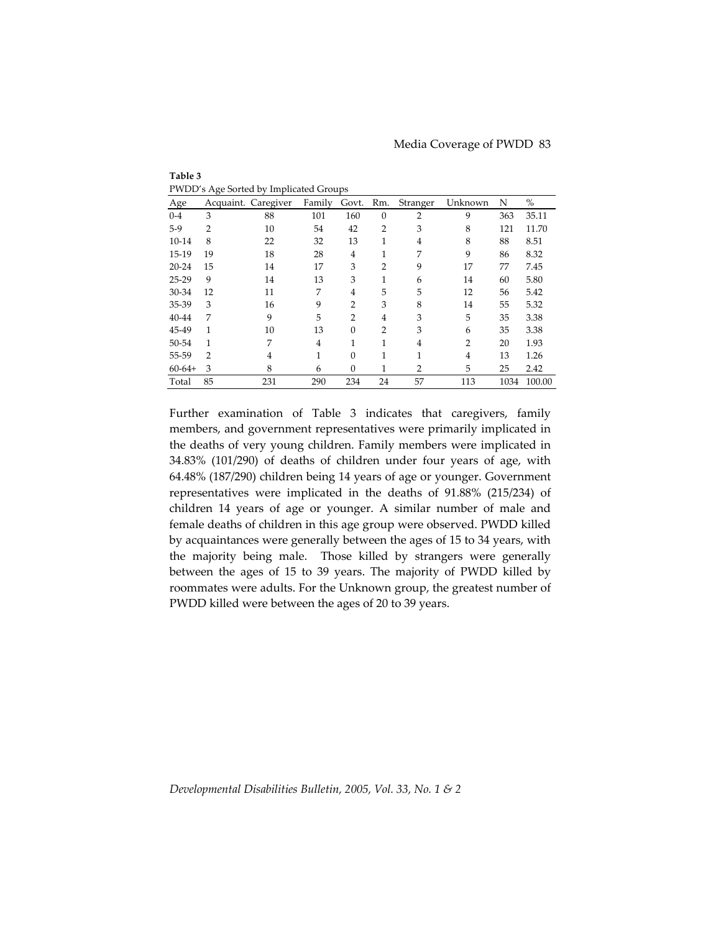| $\overline{z}$<br>m |                |                     |        |                |                |                |                |      |        |
|---------------------|----------------|---------------------|--------|----------------|----------------|----------------|----------------|------|--------|
| Age                 |                | Acquaint. Caregiver | Family | Govt.          | Rm.            | Stranger       | Unknown        | N    | $\%$   |
| $0 - 4$             | 3              | 88                  | 101    | 160            | $\theta$       | $\overline{2}$ | 9              | 363  | 35.11  |
| $5-9$               | $\overline{2}$ | 10                  | 54     | 42             | $\overline{2}$ | 3              | 8              | 121  | 11.70  |
| $10-14$             | 8              | 22                  | 32     | 13             | 1              | 4              | 8              | 88   | 8.51   |
| 15-19               | 19             | 18                  | 28     | $\overline{4}$ | 1              | 7              | 9              | 86   | 8.32   |
| $20 - 24$           | 15             | 14                  | 17     | 3              | $\overline{2}$ | 9              | 17             | 77   | 7.45   |
| $25-29$             | 9              | 14                  | 13     | 3              | $\mathbf{1}$   | 6              | 14             | 60   | 5.80   |
| 30-34               | 12             | 11                  | 7      | 4              | 5              | 5              | 12             | 56   | 5.42   |
| 35-39               | 3              | 16                  | 9      | $\overline{2}$ | 3              | 8              | 14             | 55   | 5.32   |
| 40-44               | 7              | 9                   | 5      | $\overline{2}$ | $\overline{4}$ | 3              | 5              | 35   | 3.38   |
| 45-49               | 1              | 10                  | 13     | $\Omega$       | $\overline{2}$ | 3              | 6              | 35   | 3.38   |
| 50-54               | 1              | 7                   | 4      | 1              | 1              | 4              | $\overline{2}$ | 20   | 1.93   |
| 55-59               | $\overline{2}$ | 4                   | 1      | $\Omega$       | 1              | 1              | $\overline{4}$ | 13   | 1.26   |
| $60-64+$            | 3              | 8                   | 6      | $\theta$       | 1              | $\overline{2}$ | 5              | 25   | 2.42   |
| Total               | 85             | 231                 | 290    | 234            | 24             | 57             | 113            | 1034 | 100.00 |

**Table 3** PWDD's Age Sorted by Implicated Groups

Further examination of Table 3 indicates that caregivers, family members, and government representatives were primarily implicated in the deaths of very young children. Family members were implicated in 34.83% (101/290) of deaths of children under four years of age, with 64.48% (187/290) children being 14 years of age or younger. Government representatives were implicated in the deaths of 91.88% (215/234) of children 14 years of age or younger. A similar number of male and female deaths of children in this age group were observed. PWDD killed by acquaintances were generally between the ages of 15 to 34 years, with the majority being male. Those killed by strangers were generally between the ages of 15 to 39 years. The majority of PWDD killed by roommates were adults. For the Unknown group, the greatest number of PWDD killed were between the ages of 20 to 39 years.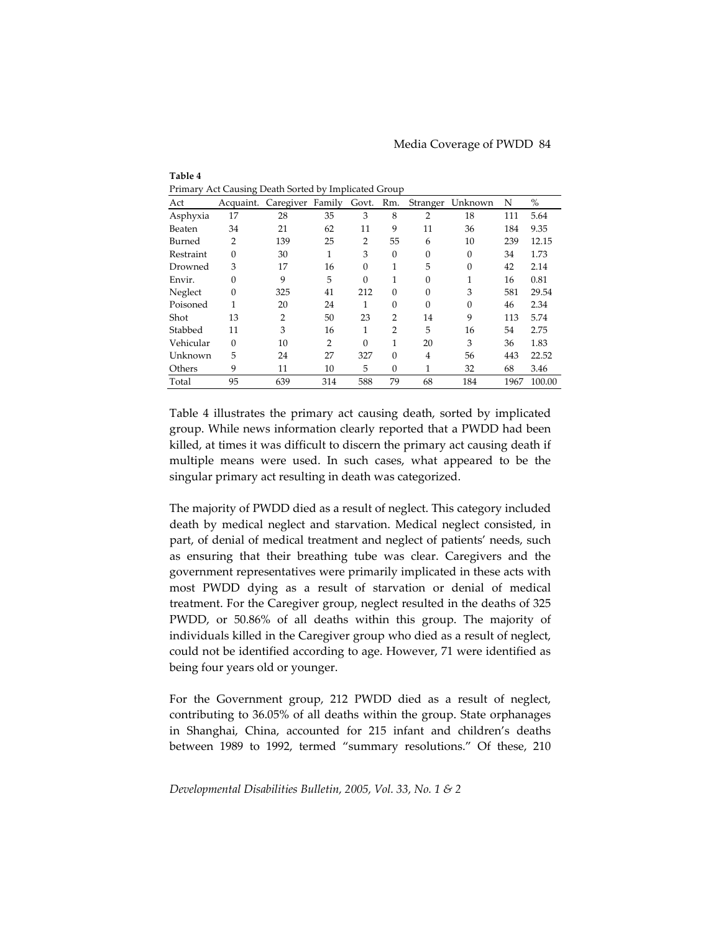| <br>--------<br>$\epsilon$ can $\epsilon$ of the $\epsilon$ ,<br>mpnesses or only |              |                  |                |                |                |                |                  |      |        |
|-----------------------------------------------------------------------------------|--------------|------------------|----------------|----------------|----------------|----------------|------------------|------|--------|
| Act                                                                               | Acquaint.    | Caregiver Family |                | Govt.          | Rm.            |                | Stranger Unknown | N    | $\%$   |
| Asphyxia                                                                          | 17           | 28               | 35             | 3              | 8              | $\overline{2}$ | 18               | 111  | 5.64   |
| Beaten                                                                            | 34           | 21               | 62             | 11             | 9              | 11             | 36               | 184  | 9.35   |
| Burned                                                                            | 2            | 139              | 25             | $\overline{2}$ | 55             | 6              | 10               | 239  | 12.15  |
| Restraint                                                                         | $\theta$     | 30               | 1              | 3              | $\theta$       | $\theta$       | $\theta$         | 34   | 1.73   |
| Drowned                                                                           | 3            | 17               | 16             | 0              | 1              | 5              | $\theta$         | 42   | 2.14   |
| Envir.                                                                            | $\mathbf{0}$ | 9                | 5              | $\Omega$       | $\mathbf{1}$   | $\theta$       | 1                | 16   | 0.81   |
| Neglect                                                                           | $\mathbf{0}$ | 325              | 41             | 212            | $\theta$       | $\Omega$       | 3                | 581  | 29.54  |
| Poisoned                                                                          | 1            | 20               | 24             |                | $\theta$       | $\theta$       | $\theta$         | 46   | 2.34   |
| Shot                                                                              | 13           | 2                | 50             | 23             | $\overline{2}$ | 14             | 9                | 113  | 5.74   |
| Stabbed                                                                           | 11           | 3                | 16             |                | $\overline{2}$ | 5              | 16               | 54   | 2.75   |
| Vehicular                                                                         | $\theta$     | 10               | $\overline{2}$ | $\theta$       | $\mathbf{1}$   | 20             | 3                | 36   | 1.83   |
| Unknown                                                                           | 5            | 24               | 27             | 327            | $\theta$       | 4              | 56               | 443  | 22.52  |
| Others                                                                            | 9            | 11               | 10             | 5              | $\theta$       | 1              | 32               | 68   | 3.46   |
| Total                                                                             | 95           | 639              | 314            | 588            | 79             | 68             | 184              | 1967 | 100.00 |

Primary Act Causing Death Sorted by Implicated Group

**Table 4**

Table 4 illustrates the primary act causing death, sorted by implicated group. While news information clearly reported that a PWDD had been killed, at times it was difficult to discern the primary act causing death if multiple means were used. In such cases, what appeared to be the singular primary act resulting in death was categorized.

The majority of PWDD died as a result of neglect. This category included death by medical neglect and starvation. Medical neglect consisted, in part, of denial of medical treatment and neglect of patients' needs, such as ensuring that their breathing tube was clear. Caregivers and the government representatives were primarily implicated in these acts with most PWDD dying as a result of starvation or denial of medical treatment. For the Caregiver group, neglect resulted in the deaths of 325 PWDD, or 50.86% of all deaths within this group. The majority of individuals killed in the Caregiver group who died as a result of neglect, could not be identified according to age. However, 71 were identified as being four years old or younger.

For the Government group, 212 PWDD died as a result of neglect, contributing to 36.05% of all deaths within the group. State orphanages in Shanghai, China, accounted for 215 infant and children's deaths between 1989 to 1992, termed "summary resolutions." Of these, 210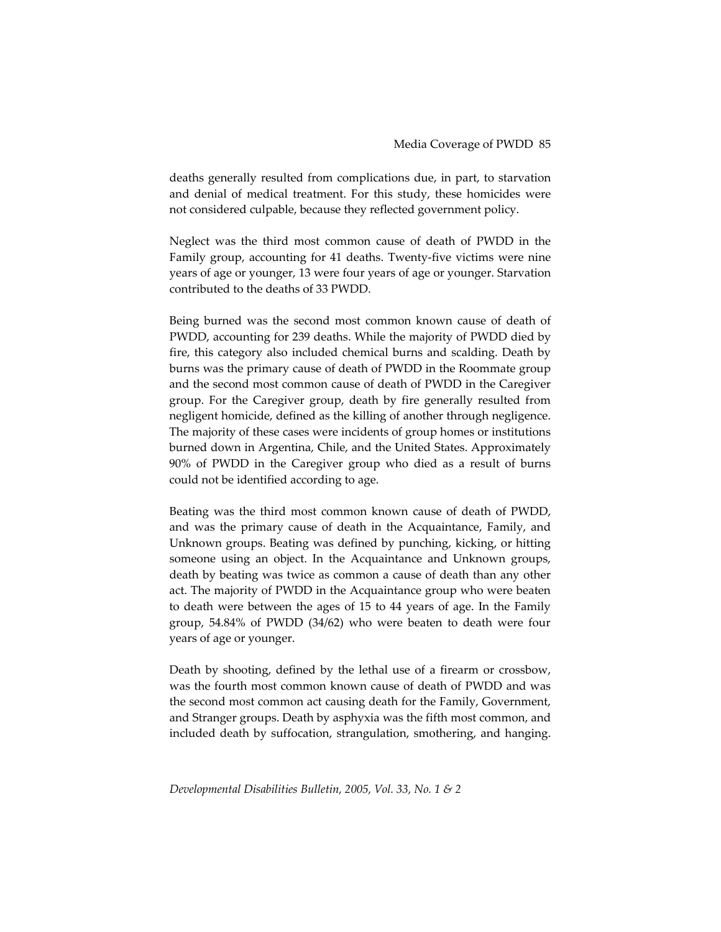deaths generally resulted from complications due, in part, to starvation and denial of medical treatment. For this study, these homicides were not considered culpable, because they reflected government policy.

Neglect was the third most common cause of death of PWDD in the Family group, accounting for 41 deaths. Twenty‐five victims were nine years of age or younger, 13 were four years of age or younger. Starvation contributed to the deaths of 33 PWDD.

Being burned was the second most common known cause of death of PWDD, accounting for 239 deaths. While the majority of PWDD died by fire, this category also included chemical burns and scalding. Death by burns was the primary cause of death of PWDD in the Roommate group and the second most common cause of death of PWDD in the Caregiver group. For the Caregiver group, death by fire generally resulted from negligent homicide, defined as the killing of another through negligence. The majority of these cases were incidents of group homes or institutions burned down in Argentina, Chile, and the United States. Approximately 90% of PWDD in the Caregiver group who died as a result of burns could not be identified according to age.

Beating was the third most common known cause of death of PWDD, and was the primary cause of death in the Acquaintance, Family, and Unknown groups. Beating was defined by punching, kicking, or hitting someone using an object. In the Acquaintance and Unknown groups, death by beating was twice as common a cause of death than any other act. The majority of PWDD in the Acquaintance group who were beaten to death were between the ages of 15 to 44 years of age. In the Family group, 54.84% of PWDD (34/62) who were beaten to death were four years of age or younger.

Death by shooting, defined by the lethal use of a firearm or crossbow, was the fourth most common known cause of death of PWDD and was the second most common act causing death for the Family, Government, and Stranger groups. Death by asphyxia was the fifth most common, and included death by suffocation, strangulation, smothering, and hanging.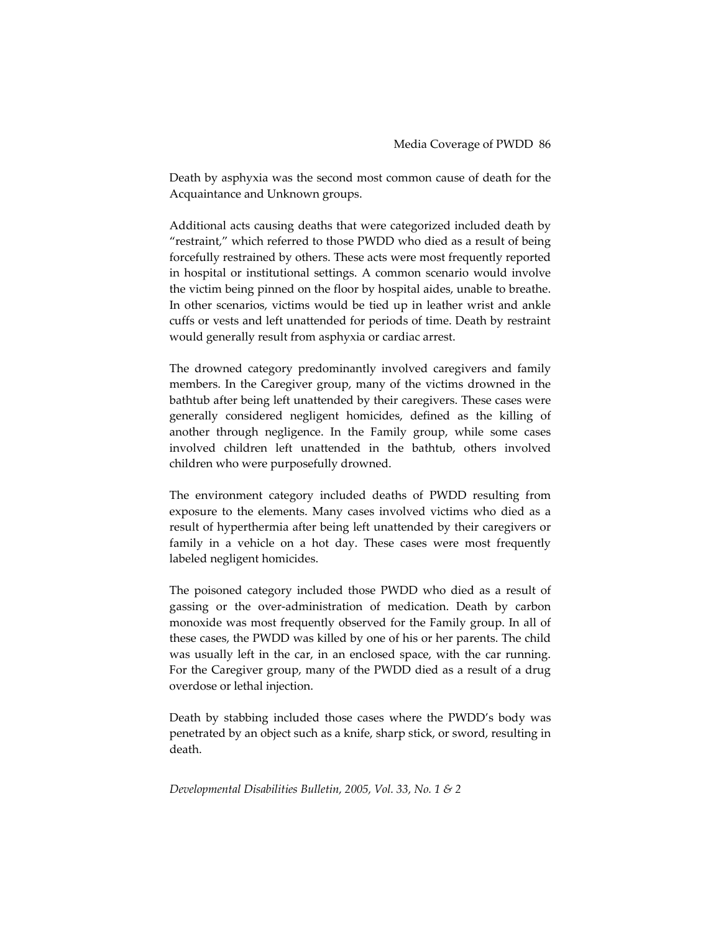Death by asphyxia was the second most common cause of death for the Acquaintance and Unknown groups.

Additional acts causing deaths that were categorized included death by "restraint," which referred to those PWDD who died as a result of being forcefully restrained by others. These acts were most frequently reported in hospital or institutional settings. A common scenario would involve the victim being pinned on the floor by hospital aides, unable to breathe. In other scenarios, victims would be tied up in leather wrist and ankle cuffs or vests and left unattended for periods of time. Death by restraint would generally result from asphyxia or cardiac arrest.

The drowned category predominantly involved caregivers and family members. In the Caregiver group, many of the victims drowned in the bathtub after being left unattended by their caregivers. These cases were generally considered negligent homicides, defined as the killing of another through negligence. In the Family group, while some cases involved children left unattended in the bathtub, others involved children who were purposefully drowned.

The environment category included deaths of PWDD resulting from exposure to the elements. Many cases involved victims who died as a result of hyperthermia after being left unattended by their caregivers or family in a vehicle on a hot day. These cases were most frequently labeled negligent homicides.

The poisoned category included those PWDD who died as a result of gassing or the over‐administration of medication. Death by carbon monoxide was most frequently observed for the Family group. In all of these cases, the PWDD was killed by one of his or her parents. The child was usually left in the car, in an enclosed space, with the car running. For the Caregiver group, many of the PWDD died as a result of a drug overdose or lethal injection.

Death by stabbing included those cases where the PWDD's body was penetrated by an object such as a knife, sharp stick, or sword, resulting in death.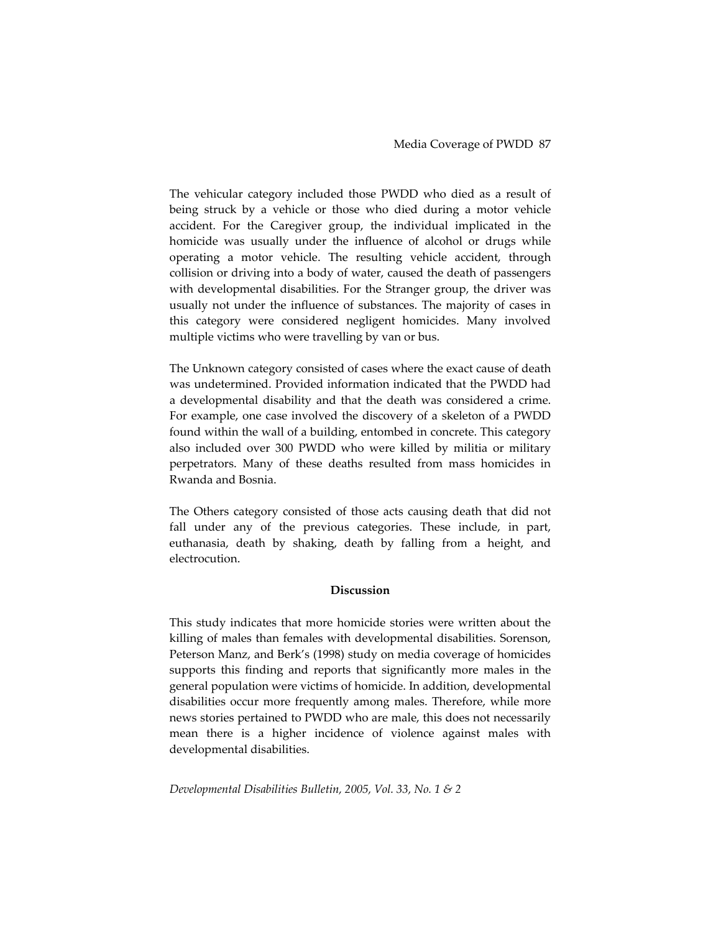The vehicular category included those PWDD who died as a result of being struck by a vehicle or those who died during a motor vehicle accident. For the Caregiver group, the individual implicated in the homicide was usually under the influence of alcohol or drugs while operating a motor vehicle. The resulting vehicle accident, through collision or driving into a body of water, caused the death of passengers with developmental disabilities. For the Stranger group, the driver was usually not under the influence of substances. The majority of cases in this category were considered negligent homicides. Many involved multiple victims who were travelling by van or bus.

The Unknown category consisted of cases where the exact cause of death was undetermined. Provided information indicated that the PWDD had a developmental disability and that the death was considered a crime. For example, one case involved the discovery of a skeleton of a PWDD found within the wall of a building, entombed in concrete. This category also included over 300 PWDD who were killed by militia or military perpetrators. Many of these deaths resulted from mass homicides in Rwanda and Bosnia.

The Others category consisted of those acts causing death that did not fall under any of the previous categories. These include, in part, euthanasia, death by shaking, death by falling from a height, and electrocution.

### **Discussion**

This study indicates that more homicide stories were written about the killing of males than females with developmental disabilities. Sorenson, Peterson Manz, and Berk's (1998) study on media coverage of homicides supports this finding and reports that significantly more males in the general population were victims of homicide. In addition, developmental disabilities occur more frequently among males. Therefore, while more news stories pertained to PWDD who are male, this does not necessarily mean there is a higher incidence of violence against males with developmental disabilities.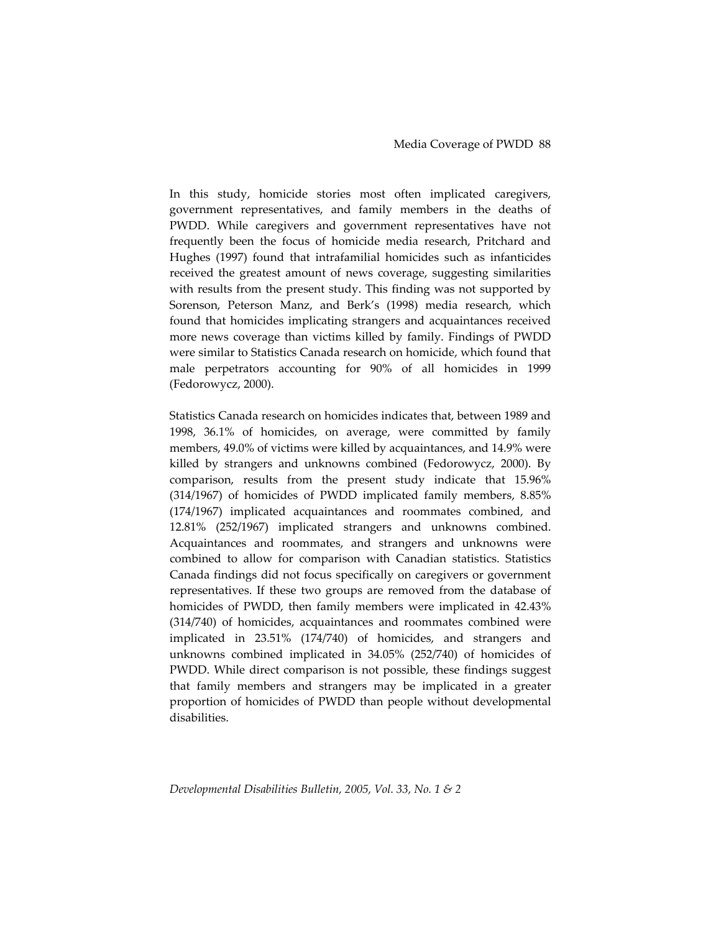In this study, homicide stories most often implicated caregivers, government representatives, and family members in the deaths of PWDD. While caregivers and government representatives have not frequently been the focus of homicide media research, Pritchard and Hughes (1997) found that intrafamilial homicides such as infanticides received the greatest amount of news coverage, suggesting similarities with results from the present study. This finding was not supported by Sorenson, Peterson Manz, and Berk's (1998) media research, which found that homicides implicating strangers and acquaintances received more news coverage than victims killed by family. Findings of PWDD were similar to Statistics Canada research on homicide, which found that male perpetrators accounting for 90% of all homicides in 1999 (Fedorowycz, 2000).

Statistics Canada research on homicides indicates that, between 1989 and 1998, 36.1% of homicides, on average, were committed by family members, 49.0% of victims were killed by acquaintances, and 14.9% were killed by strangers and unknowns combined (Fedorowycz, 2000). By comparison, results from the present study indicate that 15.96% (314/1967) of homicides of PWDD implicated family members, 8.85% (174/1967) implicated acquaintances and roommates combined, and 12.81% (252/1967) implicated strangers and unknowns combined. Acquaintances and roommates, and strangers and unknowns were combined to allow for comparison with Canadian statistics. Statistics Canada findings did not focus specifically on caregivers or government representatives. If these two groups are removed from the database of homicides of PWDD, then family members were implicated in 42.43% (314/740) of homicides, acquaintances and roommates combined were implicated in 23.51% (174/740) of homicides, and strangers and unknowns combined implicated in 34.05% (252/740) of homicides of PWDD. While direct comparison is not possible, these findings suggest that family members and strangers may be implicated in a greater proportion of homicides of PWDD than people without developmental disabilities.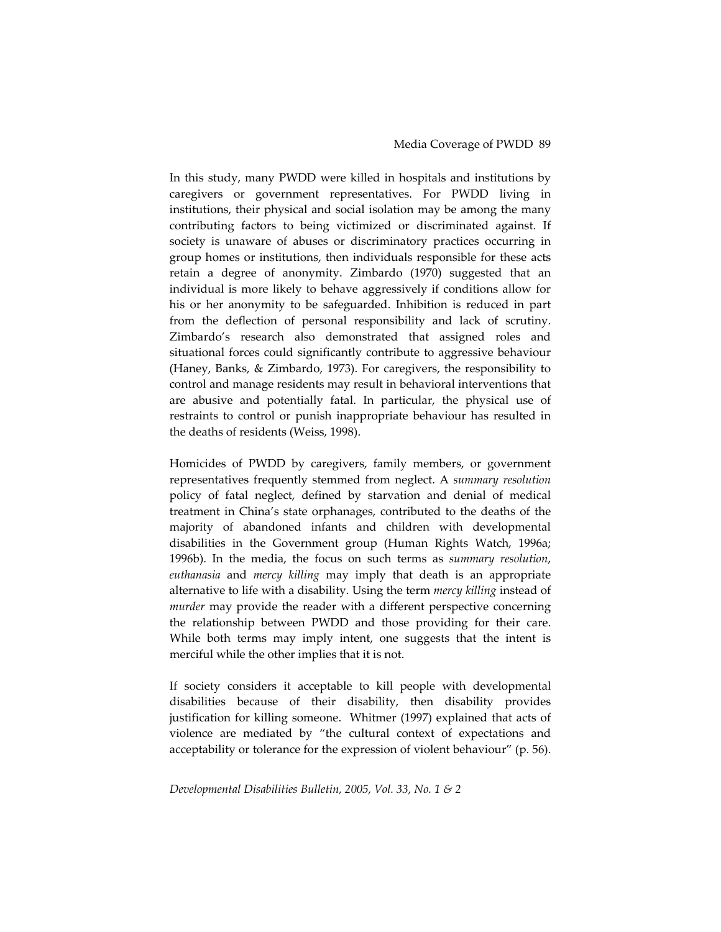In this study, many PWDD were killed in hospitals and institutions by caregivers or government representatives. For PWDD living in institutions, their physical and social isolation may be among the many contributing factors to being victimized or discriminated against. If society is unaware of abuses or discriminatory practices occurring in group homes or institutions, then individuals responsible for these acts retain a degree of anonymity. Zimbardo (1970) suggested that an individual is more likely to behave aggressively if conditions allow for his or her anonymity to be safeguarded. Inhibition is reduced in part from the deflection of personal responsibility and lack of scrutiny. Zimbardo's research also demonstrated that assigned roles and situational forces could significantly contribute to aggressive behaviour (Haney, Banks, & Zimbardo, 1973). For caregivers, the responsibility to control and manage residents may result in behavioral interventions that are abusive and potentially fatal. In particular, the physical use of restraints to control or punish inappropriate behaviour has resulted in the deaths of residents (Weiss, 1998).

Homicides of PWDD by caregivers, family members, or government representatives frequently stemmed from neglect. A *summary resolution* policy of fatal neglect, defined by starvation and denial of medical treatment in China's state orphanages, contributed to the deaths of the majority of abandoned infants and children with developmental disabilities in the Government group (Human Rights Watch, 1996a; 1996b). In the media, the focus on such terms as *summary resolution*, *euthanasia* and *mercy killing* may imply that death is an appropriate alternative to life with a disability. Using the term *mercy killing* instead of *murder* may provide the reader with a different perspective concerning the relationship between PWDD and those providing for their care. While both terms may imply intent, one suggests that the intent is merciful while the other implies that it is not.

If society considers it acceptable to kill people with developmental disabilities because of their disability, then disability provides justification for killing someone. Whitmer (1997) explained that acts of violence are mediated by "the cultural context of expectations and acceptability or tolerance for the expression of violent behaviour" (p. 56).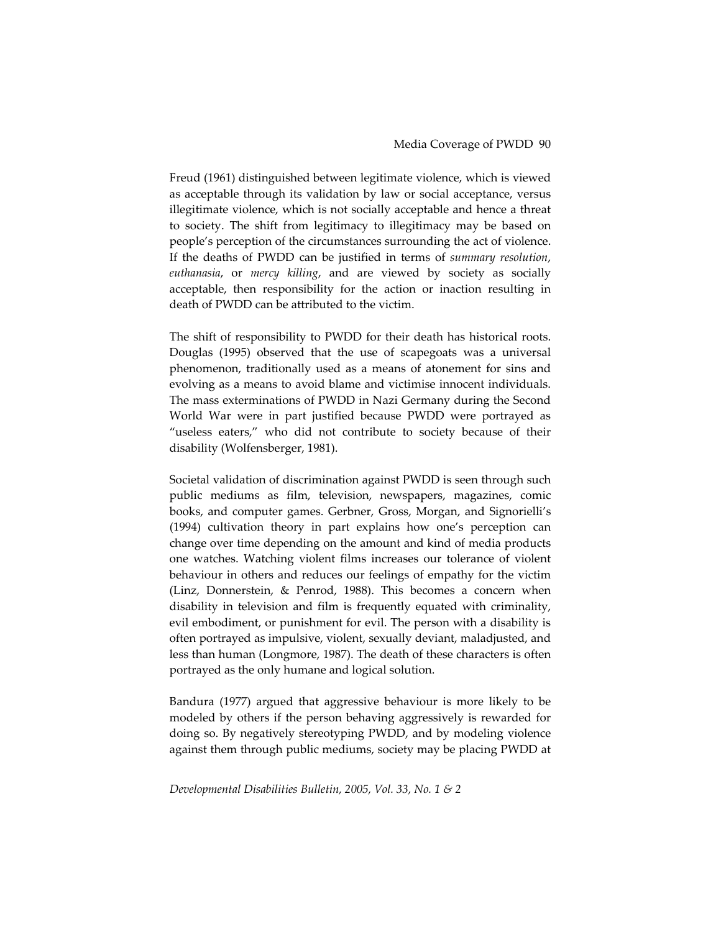Freud (1961) distinguished between legitimate violence, which is viewed as acceptable through its validation by law or social acceptance, versus illegitimate violence, which is not socially acceptable and hence a threat to society. The shift from legitimacy to illegitimacy may be based on people's perception of the circumstances surrounding the act of violence. If the deaths of PWDD can be justified in terms of *summary resolution*, *euthanasia*, or *mercy killing*, and are viewed by society as socially acceptable, then responsibility for the action or inaction resulting in death of PWDD can be attributed to the victim.

The shift of responsibility to PWDD for their death has historical roots. Douglas (1995) observed that the use of scapegoats was a universal phenomenon, traditionally used as a means of atonement for sins and evolving as a means to avoid blame and victimise innocent individuals. The mass exterminations of PWDD in Nazi Germany during the Second World War were in part justified because PWDD were portrayed as "useless eaters," who did not contribute to society because of their disability (Wolfensberger, 1981).

Societal validation of discrimination against PWDD is seen through such public mediums as film, television, newspapers, magazines, comic books, and computer games. Gerbner, Gross, Morgan, and Signorielli's (1994) cultivation theory in part explains how one's perception can change over time depending on the amount and kind of media products one watches. Watching violent films increases our tolerance of violent behaviour in others and reduces our feelings of empathy for the victim (Linz, Donnerstein, & Penrod, 1988). This becomes a concern when disability in television and film is frequently equated with criminality, evil embodiment, or punishment for evil. The person with a disability is often portrayed as impulsive, violent, sexually deviant, maladjusted, and less than human (Longmore, 1987). The death of these characters is often portrayed as the only humane and logical solution.

Bandura (1977) argued that aggressive behaviour is more likely to be modeled by others if the person behaving aggressively is rewarded for doing so. By negatively stereotyping PWDD, and by modeling violence against them through public mediums, society may be placing PWDD at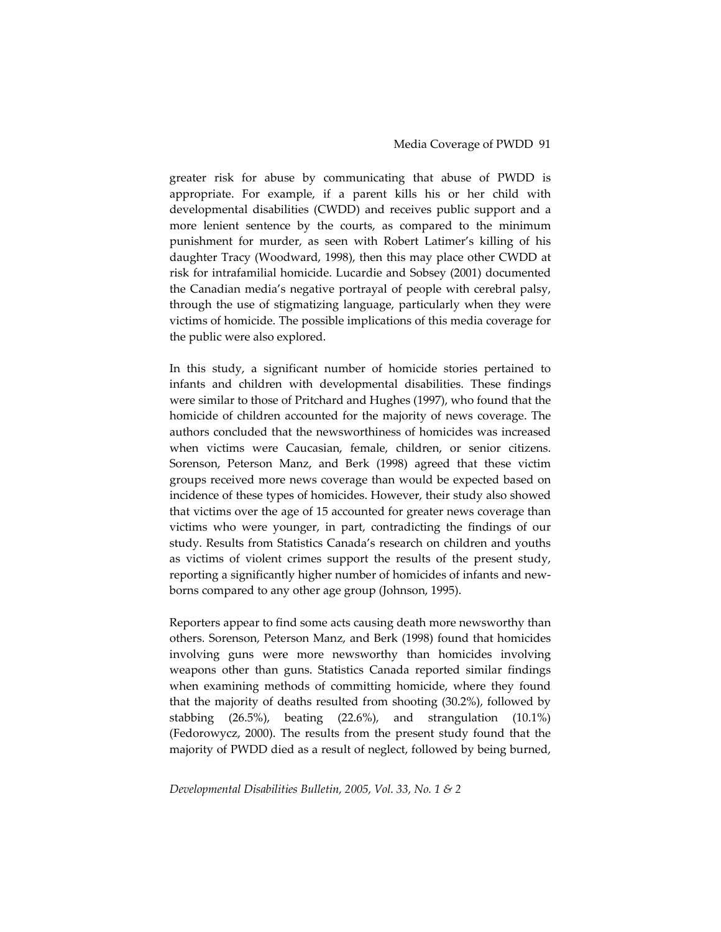greater risk for abuse by communicating that abuse of PWDD is appropriate. For example, if a parent kills his or her child with developmental disabilities (CWDD) and receives public support and a more lenient sentence by the courts, as compared to the minimum punishment for murder, as seen with Robert Latimer's killing of his daughter Tracy (Woodward, 1998), then this may place other CWDD at risk for intrafamilial homicide. Lucardie and Sobsey (2001) documented the Canadian media's negative portrayal of people with cerebral palsy, through the use of stigmatizing language, particularly when they were victims of homicide. The possible implications of this media coverage for the public were also explored.

In this study, a significant number of homicide stories pertained to infants and children with developmental disabilities. These findings were similar to those of Pritchard and Hughes (1997), who found that the homicide of children accounted for the majority of news coverage. The authors concluded that the newsworthiness of homicides was increased when victims were Caucasian, female, children, or senior citizens. Sorenson, Peterson Manz, and Berk (1998) agreed that these victim groups received more news coverage than would be expected based on incidence of these types of homicides. However, their study also showed that victims over the age of 15 accounted for greater news coverage than victims who were younger, in part, contradicting the findings of our study. Results from Statistics Canada's research on children and youths as victims of violent crimes support the results of the present study, reporting a significantly higher number of homicides of infants and new‐ borns compared to any other age group (Johnson, 1995).

Reporters appear to find some acts causing death more newsworthy than others. Sorenson, Peterson Manz, and Berk (1998) found that homicides involving guns were more newsworthy than homicides involving weapons other than guns. Statistics Canada reported similar findings when examining methods of committing homicide, where they found that the majority of deaths resulted from shooting (30.2%), followed by stabbing (26.5%), beating (22.6%), and strangulation (10.1%) (Fedorowycz, 2000). The results from the present study found that the majority of PWDD died as a result of neglect, followed by being burned,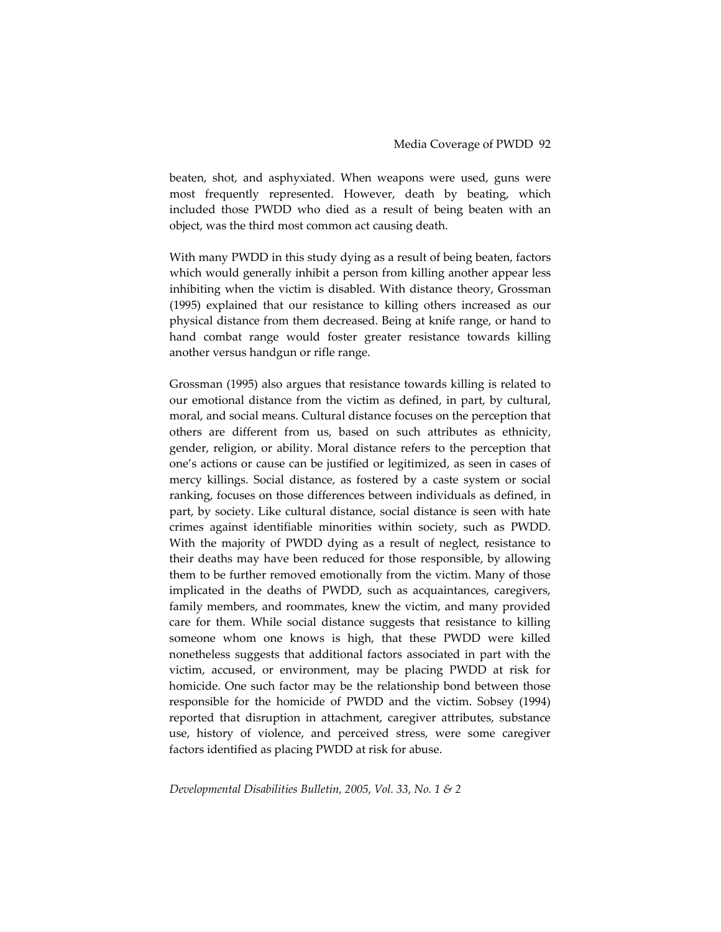beaten, shot, and asphyxiated. When weapons were used, guns were most frequently represented. However, death by beating, which included those PWDD who died as a result of being beaten with an object, was the third most common act causing death.

With many PWDD in this study dying as a result of being beaten, factors which would generally inhibit a person from killing another appear less inhibiting when the victim is disabled. With distance theory, Grossman (1995) explained that our resistance to killing others increased as our physical distance from them decreased. Being at knife range, or hand to hand combat range would foster greater resistance towards killing another versus handgun or rifle range.

Grossman (1995) also argues that resistance towards killing is related to our emotional distance from the victim as defined, in part, by cultural, moral, and social means. Cultural distance focuses on the perception that others are different from us, based on such attributes as ethnicity, gender, religion, or ability. Moral distance refers to the perception that one's actions or cause can be justified or legitimized, as seen in cases of mercy killings. Social distance, as fostered by a caste system or social ranking, focuses on those differences between individuals as defined, in part, by society. Like cultural distance, social distance is seen with hate crimes against identifiable minorities within society, such as PWDD. With the majority of PWDD dying as a result of neglect, resistance to their deaths may have been reduced for those responsible, by allowing them to be further removed emotionally from the victim. Many of those implicated in the deaths of PWDD, such as acquaintances, caregivers, family members, and roommates, knew the victim, and many provided care for them. While social distance suggests that resistance to killing someone whom one knows is high, that these PWDD were killed nonetheless suggests that additional factors associated in part with the victim, accused, or environment, may be placing PWDD at risk for homicide. One such factor may be the relationship bond between those responsible for the homicide of PWDD and the victim. Sobsey (1994) reported that disruption in attachment, caregiver attributes, substance use, history of violence, and perceived stress, were some caregiver factors identified as placing PWDD at risk for abuse.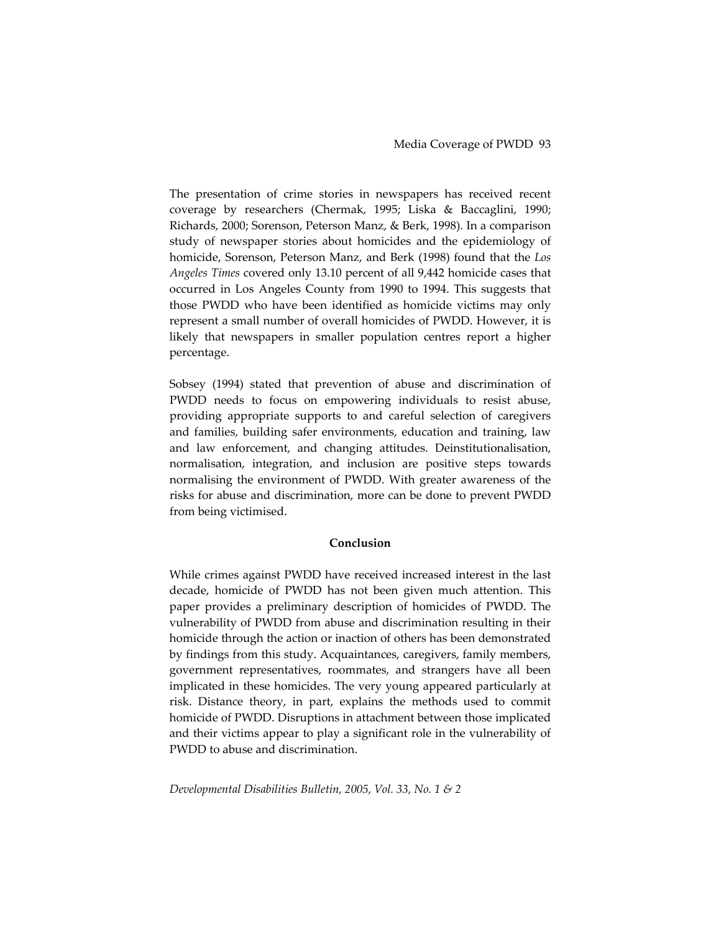The presentation of crime stories in newspapers has received recent coverage by researchers (Chermak, 1995; Liska & Baccaglini, 1990; Richards, 2000; Sorenson, Peterson Manz, & Berk, 1998). In a comparison study of newspaper stories about homicides and the epidemiology of homicide, Sorenson, Peterson Manz, and Berk (1998) found that the *Los Angeles Times* covered only 13.10 percent of all 9,442 homicide cases that occurred in Los Angeles County from 1990 to 1994. This suggests that those PWDD who have been identified as homicide victims may only represent a small number of overall homicides of PWDD. However, it is likely that newspapers in smaller population centres report a higher percentage.

Sobsey (1994) stated that prevention of abuse and discrimination of PWDD needs to focus on empowering individuals to resist abuse, providing appropriate supports to and careful selection of caregivers and families, building safer environments, education and training, law and law enforcement, and changing attitudes. Deinstitutionalisation, normalisation, integration, and inclusion are positive steps towards normalising the environment of PWDD. With greater awareness of the risks for abuse and discrimination, more can be done to prevent PWDD from being victimised.

#### **Conclusion**

While crimes against PWDD have received increased interest in the last decade, homicide of PWDD has not been given much attention. This paper provides a preliminary description of homicides of PWDD. The vulnerability of PWDD from abuse and discrimination resulting in their homicide through the action or inaction of others has been demonstrated by findings from this study. Acquaintances, caregivers, family members, government representatives, roommates, and strangers have all been implicated in these homicides. The very young appeared particularly at risk. Distance theory, in part, explains the methods used to commit homicide of PWDD. Disruptions in attachment between those implicated and their victims appear to play a significant role in the vulnerability of PWDD to abuse and discrimination.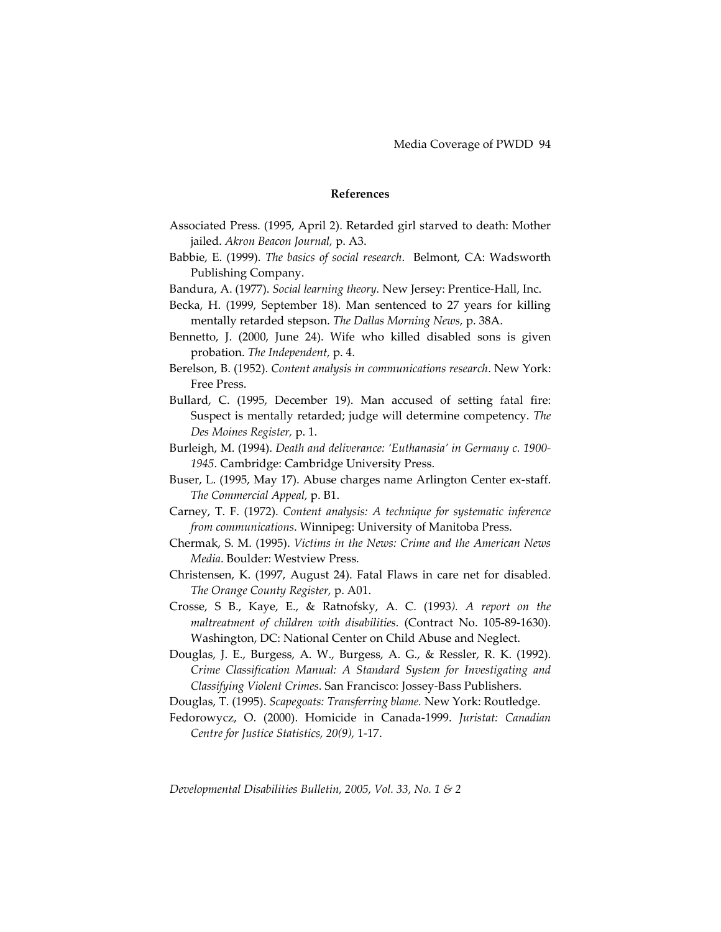### **References**

- Associated Press. (1995, April 2). Retarded girl starved to death: Mother jailed. *Akron Beacon Journal,* p. A3.
- Babbie, E. (1999). *The basics of social research*. Belmont, CA: Wadsworth Publishing Company.
- Bandura, A. (1977). *Social learning theory.* New Jersey: Prentice‐Hall, Inc.
- Becka, H. (1999, September 18). Man sentenced to 27 years for killing mentally retarded stepson. *The Dallas Morning News,* p. 38A.
- Bennetto, J. (2000, June 24). Wife who killed disabled sons is given probation. *The Independent,* p. 4.
- Berelson, B. (1952). *Content analysis in communications research*. New York: Free Press.
- Bullard, C. (1995, December 19). Man accused of setting fatal fire: Suspect is mentally retarded; judge will determine competency. *The Des Moines Register,* p. 1.
- Burleigh, M. (1994). *Death and deliverance: 'Euthanasia' in Germany c. 1900‐ 1945*. Cambridge: Cambridge University Press.
- Buser, L. (1995, May 17). Abuse charges name Arlington Center ex-staff. *The Commercial Appeal,* p. B1.
- Carney, T. F. (1972). *Content analysis: A technique for systematic inference from communications*. Winnipeg: University of Manitoba Press.
- Chermak, S. M. (1995). *Victims in the News: Crime and the American News Media*. Boulder: Westview Press.
- Christensen, K. (1997, August 24). Fatal Flaws in care net for disabled. *The Orange County Register,* p. A01.
- Crosse, S B., Kaye, E., & Ratnofsky, A. C. (1993*). A report on the maltreatment of children with disabilities.* (Contract No. 105‐89‐1630). Washington, DC: National Center on Child Abuse and Neglect.
- Douglas, J. E., Burgess, A. W., Burgess, A. G., & Ressler, R. K. (1992). *Crime Classification Manual: A Standard System for Investigating and Classifying Violent Crimes*. San Francisco: Jossey‐Bass Publishers.
- Douglas, T. (1995). *Scapegoats: Transferring blame.* New York: Routledge.
- Fedorowycz, O. (2000). Homicide in Canada‐1999. *Juristat: Canadian Centre for Justice Statistics, 20(9),* 1‐17.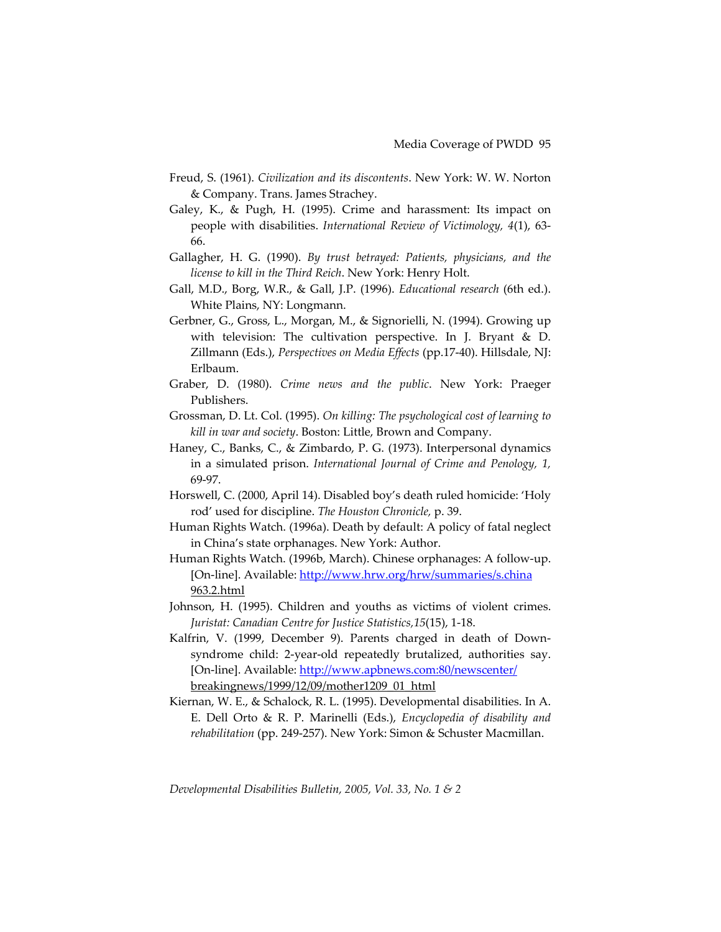- Freud, S. (1961). *Civilization and its discontents*. New York: W. W. Norton & Company. Trans. James Strachey.
- Galey, K., & Pugh, H. (1995). Crime and harassment: Its impact on people with disabilities. *International Review of Victimology, 4*(1), 63‐ 66.
- Gallagher, H. G. (1990). *By trust betrayed: Patients, physicians, and the license to kill in the Third Reich*. New York: Henry Holt.
- Gall, M.D., Borg, W.R., & Gall, J.P. (1996). *Educational research* (6th ed.). White Plains, NY: Longmann.
- Gerbner, G., Gross, L., Morgan, M., & Signorielli, N. (1994). Growing up with television: The cultivation perspective. In J. Bryant & D. Zillmann (Eds.), *Perspectives on Media Effects* (pp.17‐40). Hillsdale, NJ: Erlbaum.
- Graber, D. (1980). *Crime news and the public*. New York: Praeger Publishers.
- Grossman, D. Lt. Col. (1995). *On killing: The psychological cost of learning to kill in war and society*. Boston: Little, Brown and Company.
- Haney, C., Banks, C., & Zimbardo, P. G. (1973). Interpersonal dynamics in a simulated prison. *International Journal of Crime and Penology, 1,* 69‐97.
- Horswell, C. (2000, April 14). Disabled boy's death ruled homicide: 'Holy rod' used for discipline. *The Houston Chronicle,* p. 39.
- Human Rights Watch. (1996a). Death by default: A policy of fatal neglect in China's state orphanages. New York: Author.
- Human Rights Watch. (1996b, March). Chinese orphanages: A follow‐up. [On-line]. Available: <http://www.hrw.org/hrw/summaries/s.china> 963.2.html
- Johnson, H. (1995). Children and youths as victims of violent crimes. *Juristat: Canadian Centre for Justice Statistics,15*(15), 1‐18.
- Kalfrin, V. (1999, December 9). Parents charged in death of Downsyndrome child: 2‐year‐old repeatedly brutalized, authorities say. [On-line]. Available: [http://www.apbnews.com:80/newscenter/](http://www.apbnews.com/newscenter/) breakingnews/1999/12/09/mother1209\_01\_html
- Kiernan, W. E., & Schalock, R. L. (1995). Developmental disabilities. In A. E. Dell Orto & R. P. Marinelli (Eds.), *Encyclopedia of disability and rehabilitation* (pp. 249‐257). New York: Simon & Schuster Macmillan.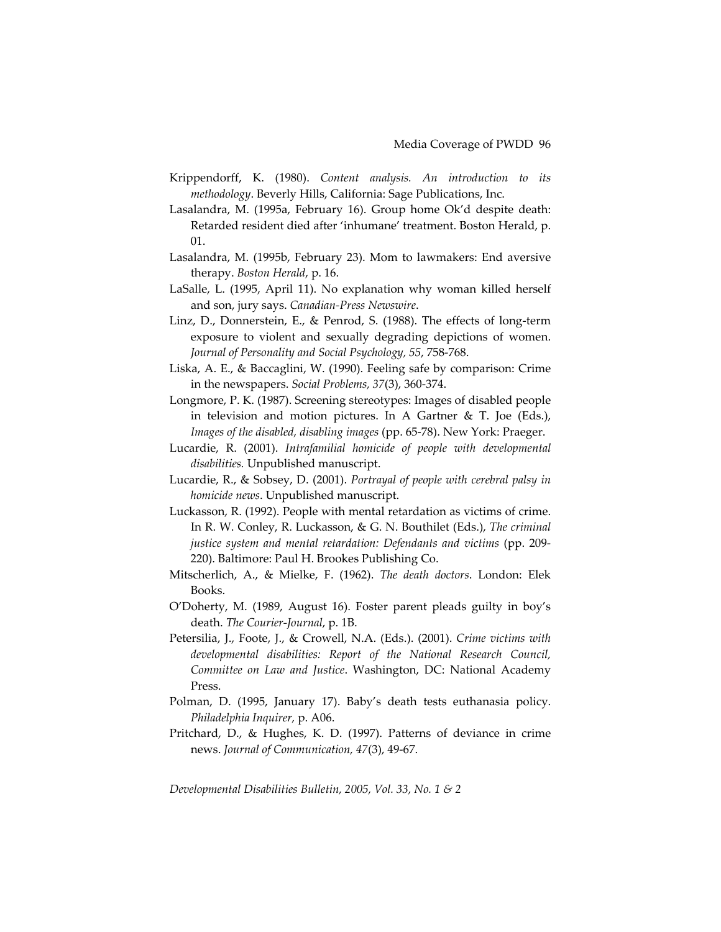- Krippendorff, K. (1980). *Content analysis. An introduction to its methodology*. Beverly Hills, California: Sage Publications, Inc.
- Lasalandra, M. (1995a, February 16). Group home Ok'd despite death: Retarded resident died after 'inhumane' treatment. Boston Herald, p. 01.
- Lasalandra, M. (1995b, February 23). Mom to lawmakers: End aversive therapy. *Boston Herald*, p. 16.
- LaSalle, L. (1995, April 11). No explanation why woman killed herself and son, jury says. *Canadian‐Press Newswire*.
- Linz, D., Donnerstein, E., & Penrod, S. (1988). The effects of long‐term exposure to violent and sexually degrading depictions of women. *Journal of Personality and Social Psychology, 55*, 758‐768.
- Liska, A. E., & Baccaglini, W. (1990). Feeling safe by comparison: Crime in the newspapers. *Social Problems, 37*(3), 360‐374.
- Longmore, P. K. (1987). Screening stereotypes: Images of disabled people in television and motion pictures. In A Gartner & T. Joe (Eds.), *Images of the disabled, disabling images* (pp. 65‐78). New York: Praeger.
- Lucardie, R. (2001). *Intrafamilial homicide of people with developmental disabilities.* Unpublished manuscript.
- Lucardie, R., & Sobsey, D. (2001). *Portrayal of people with cerebral palsy in homicide news*. Unpublished manuscript.
- Luckasson, R. (1992). People with mental retardation as victims of crime. In R. W. Conley, R. Luckasson, & G. N. Bouthilet (Eds.), *The criminal justice system and mental retardation: Defendants and victims* (pp. 209‐ 220). Baltimore: Paul H. Brookes Publishing Co.
- Mitscherlich, A., & Mielke, F. (1962). *The death doctors*. London: Elek Books.
- O'Doherty, M. (1989, August 16). Foster parent pleads guilty in boy's death. *The Courier‐Journal*, p. 1B.
- Petersilia, J., Foote, J., & Crowell, N.A. (Eds.). (2001). *Crime victims with developmental disabilities: Report of the National Research Council, Committee on Law and Justice*. Washington, DC: National Academy Press.
- Polman, D. (1995, January 17). Baby's death tests euthanasia policy. *Philadelphia Inquirer,* p. A06.
- Pritchard, D., & Hughes, K. D. (1997). Patterns of deviance in crime news. *Journal of Communication, 47*(3), 49‐67.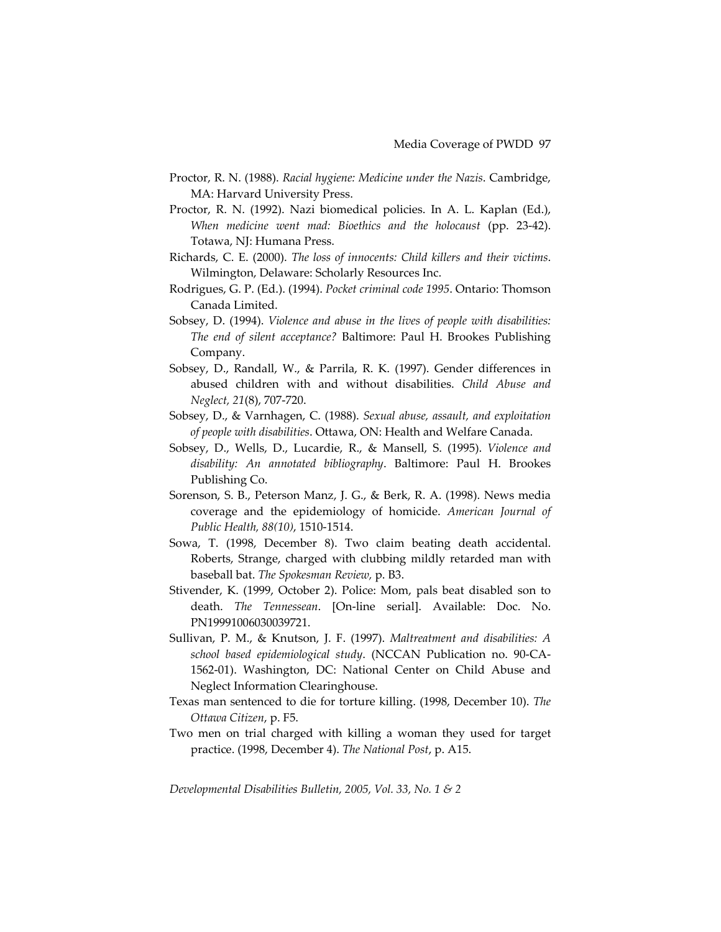- Proctor, R. N. (1988). *Racial hygiene: Medicine under the Nazis*. Cambridge, MA: Harvard University Press.
- Proctor, R. N. (1992). Nazi biomedical policies. In A. L. Kaplan (Ed.), *When medicine went mad: Bioethics and the holocaust* (pp. 23‐42). Totawa, NJ: Humana Press.
- Richards, C. E. (2000). *The loss of innocents: Child killers and their victims*. Wilmington, Delaware: Scholarly Resources Inc.
- Rodrigues, G. P. (Ed.). (1994). *Pocket criminal code 1995*. Ontario: Thomson Canada Limited.
- Sobsey, D. (1994). *Violence and abuse in the lives of people with disabilities: The end of silent acceptance?* Baltimore: Paul H. Brookes Publishing Company.
- Sobsey, D., Randall, W., & Parrila, R. K. (1997). Gender differences in abused children with and without disabilities. *Child Abuse and Neglect, 21*(8), 707‐720.
- Sobsey, D., & Varnhagen, C. (1988). *Sexual abuse, assault, and exploitation of people with disabilities*. Ottawa, ON: Health and Welfare Canada.
- Sobsey, D., Wells, D., Lucardie, R., & Mansell, S. (1995). *Violence and disability: An annotated bibliography*. Baltimore: Paul H. Brookes Publishing Co.
- Sorenson, S. B., Peterson Manz, J. G., & Berk, R. A. (1998). News media coverage and the epidemiology of homicide. *American Journal of Public Health, 88(10)*, 1510‐1514.
- Sowa, T. (1998, December 8). Two claim beating death accidental. Roberts, Strange, charged with clubbing mildly retarded man with baseball bat. *The Spokesman Review,* p. B3.
- Stivender, K. (1999, October 2). Police: Mom, pals beat disabled son to death. *The Tennessean*. [On‐line serial]. Available: Doc. No. PN19991006030039721.
- Sullivan, P. M., & Knutson, J. F. (1997). *Maltreatment and disabilities: A school based epidemiological study*. (NCCAN Publication no. 90‐CA‐ 1562‐01). Washington, DC: National Center on Child Abuse and Neglect Information Clearinghouse.
- Texas man sentenced to die for torture killing. (1998, December 10). *The Ottawa Citizen*, p. F5.
- Two men on trial charged with killing a woman they used for target practice. (1998, December 4). *The National Post*, p. A15.